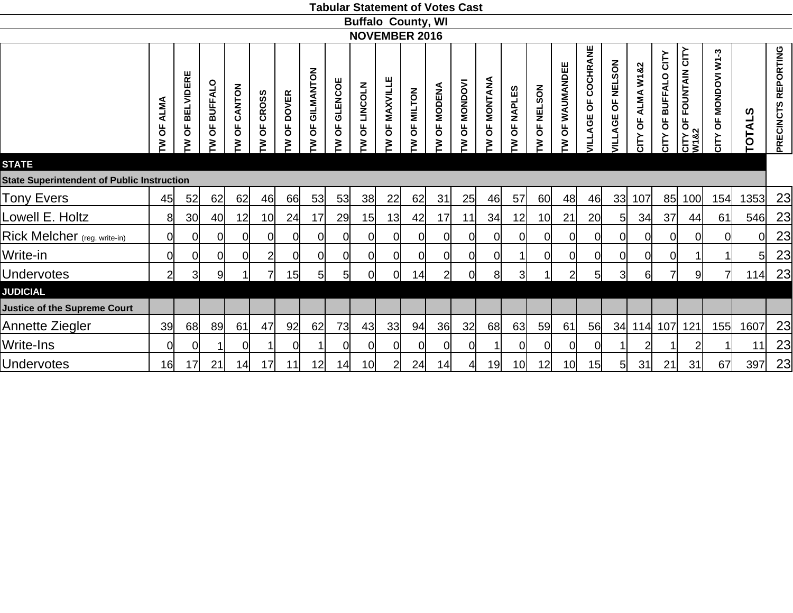|                                                   |                       |                                    |                     |                  |                        |                        |                                  |                   |                          | <b>Buffalo County, WI</b> |                                 |                |                                       |                   |                 |                                 |                   |                                                   |                               |                                                |                                      |                                                                  |                            |               |                     |
|---------------------------------------------------|-----------------------|------------------------------------|---------------------|------------------|------------------------|------------------------|----------------------------------|-------------------|--------------------------|---------------------------|---------------------------------|----------------|---------------------------------------|-------------------|-----------------|---------------------------------|-------------------|---------------------------------------------------|-------------------------------|------------------------------------------------|--------------------------------------|------------------------------------------------------------------|----------------------------|---------------|---------------------|
|                                                   |                       |                                    |                     |                  |                        |                        |                                  |                   |                          | <b>NOVEMBER 2016</b>      |                                 |                |                                       |                   |                 |                                 |                   |                                                   |                               |                                                |                                      |                                                                  |                            |               |                     |
| <b>STATE</b>                                      | <b>ALMA</b><br>ხ<br>M | <b>BELVIDERE</b><br>$\overline{6}$ | <b>BUFFALO</b><br>ხ | CANTON<br>ხ<br>⋧ | <b>CROSS</b><br>ზ<br>₹ | <b>DOVER</b><br>ხ<br>₹ | GILMANTON<br>$\overline{5}$<br>≶ | GLENCOE<br>ხ<br>₹ | <b>LINCOLN</b><br>Ъ<br>≧ | OF MAXVILLE<br>₹          | <b>MILTON</b><br>$\overline{5}$ | OF MODENA<br>⋧ | <b>MONDOVI</b><br>$\overline{6}$<br>₹ | MONTANA<br>Ъ<br>₹ | OF NAPLES<br>⋧  | <b>NELSON</b><br>$\overline{6}$ | OF WAUMANDEE<br>≧ | COCHRANE<br>$\overline{\sigma}$<br><b>VILLAGE</b> | <b>NELSON</b><br>ხ<br>VILLAGE | ALMA W1&2<br>$\overline{\sigma}$<br><b>NLC</b> | CITY<br><b>BUFFALO</b><br>pp<br>CITY | <b>FOUNTAIN CITY</b><br>$\overline{6}$<br><b>CITY C<br/>W182</b> | MONDOVI W1-3<br>pP<br>CITY | <b>TOTALS</b> | PRECINCTS REPORTING |
| <b>State Superintendent of Public Instruction</b> |                       |                                    |                     |                  |                        |                        |                                  |                   |                          |                           |                                 |                |                                       |                   |                 |                                 |                   |                                                   |                               |                                                |                                      |                                                                  |                            |               |                     |
| <b>Tony Evers</b>                                 | 45                    | 52                                 | 62                  | 62               | 46                     | 66                     | 53                               | 53                | 38 <sup>l</sup>          | 22                        | 62                              | 31             | 25                                    | 46                | 57              | 60                              | 48                | 46                                                | 33 <sup>1</sup>               | 107                                            | 85                                   | 100                                                              | 154                        | 1353          | 23                  |
| Lowell E. Holtz                                   | 8                     | 30 <sub>l</sub>                    | 40                  | 12               | 10 <sup>1</sup>        | 24                     | 17                               | 29                | 15                       | 13                        | 42                              | 17             | 11                                    | 34                | 12              | 10 <sub>l</sub>                 | 21                | 20                                                | 5                             | 34                                             | 37                                   | 44                                                               | 61                         | 546           | 23                  |
| Rick Melcher (reg. write-in)                      | 0l                    | 0l                                 | 0l                  |                  | 0l                     | $\Omega$               | 0                                | Ωl                | $\Omega$                 | 0l                        | 0l                              |                | 0l                                    | 0l                | 01              | 0l                              |                   | 0l                                                | ΩI                            | ΩI                                             | 0                                    | $\Omega$                                                         | <sup>O</sup>               | $\Omega$      | 23                  |
| Write-in                                          | 0                     | 0l                                 | 0l                  |                  | $\overline{2}$         | $\Omega$               | 0l                               | $\Omega$          | $\Omega$                 | 0l                        | 0l                              |                | 0l                                    | 0l                |                 | 0l                              |                   | <sup>O</sup>                                      | ΩI                            | 0l                                             | $\Omega$                             |                                                                  |                            | 5             | 23                  |
| <b>Undervotes</b>                                 | $\overline{2}$        | $\overline{3}$                     | $\overline{9}$      |                  | 71                     | 15                     | 5                                | 5 <sup>1</sup>    | 0l                       | <sub>0</sub>              | 14                              | 2              | <sub>0</sub>                          | 8                 | 3               |                                 | $\overline{2}$    | $5 \mid$                                          | $\overline{3}$                | 6                                              | $\overline{7}$                       | 9                                                                | $\overline{7}$             | 114           | 23                  |
| <b>JUDICIAL</b>                                   |                       |                                    |                     |                  |                        |                        |                                  |                   |                          |                           |                                 |                |                                       |                   |                 |                                 |                   |                                                   |                               |                                                |                                      |                                                                  |                            |               |                     |
| <b>Justice of the Supreme Court</b>               |                       |                                    |                     |                  |                        |                        |                                  |                   |                          |                           |                                 |                |                                       |                   |                 |                                 |                   |                                                   |                               |                                                |                                      |                                                                  |                            |               |                     |
| Annette Ziegler                                   | 39                    | 68                                 | 89                  | 61               | 47                     | 92                     | 62                               | 73                | 43                       | 33                        | 94                              | 36             | 32                                    | 68                | 63              | 59                              | 61                | 56                                                | 34                            | 114                                            | 107                                  | 121                                                              | 155                        | 1607          | 23                  |
| Write-Ins                                         | 0                     | 0                                  |                     |                  |                        | 0                      |                                  | വ                 |                          | 0l                        | 0                               |                | <sup>O</sup>                          | $\overline{1}$    | 0l              | 0                               | 0l                | <sub>0</sub>                                      |                               | $\overline{2}$                                 |                                      |                                                                  |                            | 11            | 23                  |
| <b>Undervotes</b>                                 | <b>16</b>             | 17                                 | 21                  | 14               | 17                     | 11                     | 12                               | 14                | 10 <sup>1</sup>          | $\overline{2}$            | 24                              | 14             | 4                                     | 19                | 10 <sup>1</sup> | 12                              | 10 <sub>l</sub>   | 15                                                | 5                             | 31                                             | 21                                   | 31                                                               | 67                         | 397           | 23                  |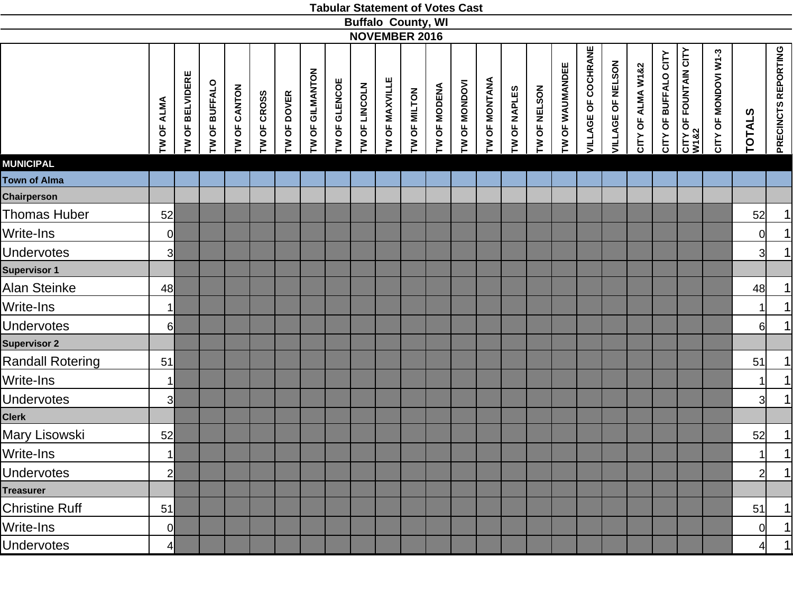|                     |                |                 |               |              |             |             |                 |               |               |                | <b>Buffalo County, WI</b> |              |               |               |              |              |                 |                            |                   |                   |                      |                                           |                      |                |                     |
|---------------------|----------------|-----------------|---------------|--------------|-------------|-------------|-----------------|---------------|---------------|----------------|---------------------------|--------------|---------------|---------------|--------------|--------------|-----------------|----------------------------|-------------------|-------------------|----------------------|-------------------------------------------|----------------------|----------------|---------------------|
|                     |                |                 |               |              |             |             |                 |               |               |                | <b>NOVEMBER 2016</b>      |              |               |               |              |              |                 |                            |                   |                   |                      |                                           |                      |                |                     |
|                     | TW OF ALMA     | TW OF BELVIDERE | TW OF BUFFALO | TW OF CANTON | TW OF CROSS | TW OF DOVER | TW OF GILMANTON | TW OF GLENCOE | TW OF LINCOLN | TW OF MAXVILLE | TW OF MILTON              | TW OF MODENA | TW OF MONDOVI | TW OF MONTANA | TW OF NAPLES | TW OF NELSON | TW OF WAUMANDEE | <b>VILLAGE OF COCHRANE</b> | VILLAGE OF NELSON | CITY OF ALMA W1&2 | CITY OF BUFFALO CITY | <b>CITY OF FOUNTAIN CITY<br/>W1&amp;2</b> | CITY OF MONDOVI W1-3 | <b>TOTALS</b>  | PRECINCTS REPORTING |
| <b>MUNICIPAL</b>    |                |                 |               |              |             |             |                 |               |               |                |                           |              |               |               |              |              |                 |                            |                   |                   |                      |                                           |                      |                |                     |
| <b>Town of Alma</b> |                |                 |               |              |             |             |                 |               |               |                |                           |              |               |               |              |              |                 |                            |                   |                   |                      |                                           |                      |                |                     |
| <b>Chairperson</b>  |                |                 |               |              |             |             |                 |               |               |                |                           |              |               |               |              |              |                 |                            |                   |                   |                      |                                           |                      |                |                     |
| Thomas Huber        | 52             |                 |               |              |             |             |                 |               |               |                |                           |              |               |               |              |              |                 |                            |                   |                   |                      |                                           |                      | 52             | $\frac{1}{1}$       |
| Write-Ins           | $\mathbf 0$    |                 |               |              |             |             |                 |               |               |                |                           |              |               |               |              |              |                 |                            |                   |                   |                      |                                           |                      | 0              |                     |
| <b>Undervotes</b>   | 3              |                 |               |              |             |             |                 |               |               |                |                           |              |               |               |              |              |                 |                            |                   |                   |                      |                                           |                      | 3 <sup>l</sup> | 1                   |
| Supervisor 1        |                |                 |               |              |             |             |                 |               |               |                |                           |              |               |               |              |              |                 |                            |                   |                   |                      |                                           |                      |                |                     |
| Alan Steinke        | 48             |                 |               |              |             |             |                 |               |               |                |                           |              |               |               |              |              |                 |                            |                   |                   |                      |                                           |                      | 48             | $\overline{1}$      |
| Write-Ins           | $\mathbf{1}$   |                 |               |              |             |             |                 |               |               |                |                           |              |               |               |              |              |                 |                            |                   |                   |                      |                                           |                      | 1              | $\overline{1}$      |
| <b>Jndervotes</b>   | $6 \mid$       |                 |               |              |             |             |                 |               |               |                |                           |              |               |               |              |              |                 |                            |                   |                   |                      |                                           |                      | $6 \mid$       | 1                   |
| Supervisor 2        |                |                 |               |              |             |             |                 |               |               |                |                           |              |               |               |              |              |                 |                            |                   |                   |                      |                                           |                      |                |                     |
| Randall Rotering    | 51             |                 |               |              |             |             |                 |               |               |                |                           |              |               |               |              |              |                 |                            |                   |                   |                      |                                           |                      | 51             |                     |
| Write-Ins           | $\mathbf{1}$   |                 |               |              |             |             |                 |               |               |                |                           |              |               |               |              |              |                 |                            |                   |                   |                      |                                           |                      | $\vert$ 1      | $\frac{1}{1}$       |
| <b>Jndervotes</b>   | 3              |                 |               |              |             |             |                 |               |               |                |                           |              |               |               |              |              |                 |                            |                   |                   |                      |                                           |                      | 3 <sup>l</sup> | $\overline{1}$      |
| Clerk               |                |                 |               |              |             |             |                 |               |               |                |                           |              |               |               |              |              |                 |                            |                   |                   |                      |                                           |                      |                |                     |
| Mary Lisowski       | 52             |                 |               |              |             |             |                 |               |               |                |                           |              |               |               |              |              |                 |                            |                   |                   |                      |                                           |                      | 52             |                     |
| Write-Ins           | $\mathbf{1}$   |                 |               |              |             |             |                 |               |               |                |                           |              |               |               |              |              |                 |                            |                   |                   |                      |                                           |                      | $\vert$ 1      | $\frac{1}{1}$       |
| <b>Jndervotes</b>   | $\overline{c}$ |                 |               |              |             |             |                 |               |               |                |                           |              |               |               |              |              |                 |                            |                   |                   |                      |                                           |                      | $2 \vert$      | 1                   |
| <b>Treasurer</b>    |                |                 |               |              |             |             |                 |               |               |                |                           |              |               |               |              |              |                 |                            |                   |                   |                      |                                           |                      |                |                     |
| Christine Ruff      | 51             |                 |               |              |             |             |                 |               |               |                |                           |              |               |               |              |              |                 |                            |                   |                   |                      |                                           |                      | 51             | 1                   |
| Write-Ins           | $\mathbf 0$    |                 |               |              |             |             |                 |               |               |                |                           |              |               |               |              |              |                 |                            |                   |                   |                      |                                           |                      | 0              | 1                   |
| <b>Jndervotes</b>   | $\frac{4}{3}$  |                 |               |              |             |             |                 |               |               |                |                           |              |               |               |              |              |                 |                            |                   |                   |                      |                                           |                      |                | 1                   |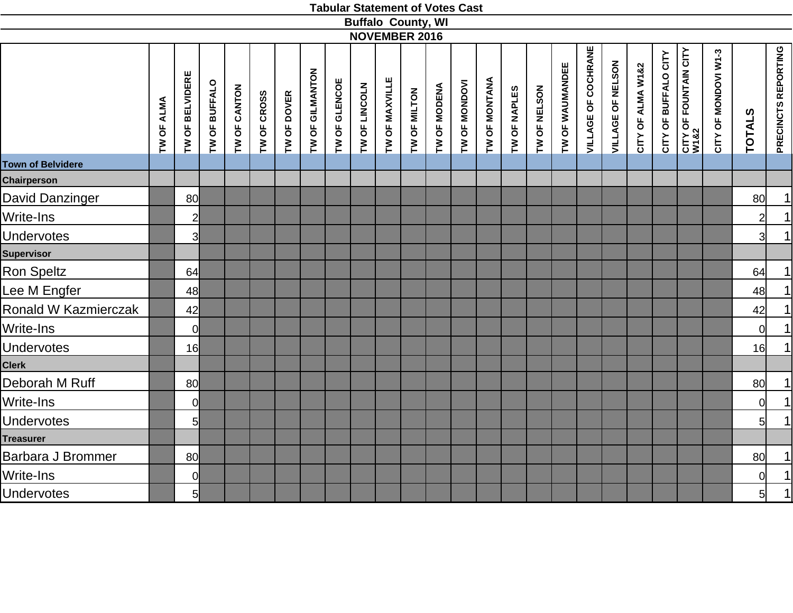|                          |            |                 |               |                     |             |             |                 |               | <b>Buffalo County, WI</b> |                |              |              |               |               |              |              |                 |                            |                   |                   |                      |                                           |                      |                 |                     |
|--------------------------|------------|-----------------|---------------|---------------------|-------------|-------------|-----------------|---------------|---------------------------|----------------|--------------|--------------|---------------|---------------|--------------|--------------|-----------------|----------------------------|-------------------|-------------------|----------------------|-------------------------------------------|----------------------|-----------------|---------------------|
|                          |            |                 |               |                     |             |             |                 |               | <b>NOVEMBER 2016</b>      |                |              |              |               |               |              |              |                 |                            |                   |                   |                      |                                           |                      |                 |                     |
|                          | IW OF ALMA | TW OF BELVIDERE | TW OF BUFFALO | <b>TW OF CANTON</b> | TW OF CROSS | TW OF DOVER | TW OF GILMANTON | TW OF GLENCOE | TW OF LINCOLN             | TW OF MAXVILLE | TW OF MILTON | TW OF MODENA | TW OF MONDOVI | TW OF MONTANA | TW OF NAPLES | TW OF NELSON | TW OF WAUMANDEE | <b>VILLAGE OF COCHRANE</b> | VILLAGE OF NELSON | CITY OF ALMA W1&2 | CITY OF BUFFALO CITY | <b>CITY OF FOUNTAIN CITY<br/>W1&amp;2</b> | CITY OF MONDOVI W1-3 | <b>TOTALS</b>   | PRECINCTS REPORTING |
| <b>Town of Belvidere</b> |            |                 |               |                     |             |             |                 |               |                           |                |              |              |               |               |              |              |                 |                            |                   |                   |                      |                                           |                      |                 |                     |
| <b>Chairperson</b>       |            |                 |               |                     |             |             |                 |               |                           |                |              |              |               |               |              |              |                 |                            |                   |                   |                      |                                           |                      |                 |                     |
| David Danzinger          |            | 80              |               |                     |             |             |                 |               |                           |                |              |              |               |               |              |              |                 |                            |                   |                   |                      |                                           |                      | 80              | $\vert$             |
| <b>Write-Ins</b>         |            | $\overline{2}$  |               |                     |             |             |                 |               |                           |                |              |              |               |               |              |              |                 |                            |                   |                   |                      |                                           |                      | $\overline{2}$  | $\vert$             |
| <b>Undervotes</b>        |            | 3               |               |                     |             |             |                 |               |                           |                |              |              |               |               |              |              |                 |                            |                   |                   |                      |                                           |                      | $\overline{3}$  | $\mathbf{1}$        |
| <b>Supervisor</b>        |            |                 |               |                     |             |             |                 |               |                           |                |              |              |               |               |              |              |                 |                            |                   |                   |                      |                                           |                      |                 |                     |
| Ron Speltz               |            | 64              |               |                     |             |             |                 |               |                           |                |              |              |               |               |              |              |                 |                            |                   |                   |                      |                                           |                      | 64              | $\vert$             |
| Lee M Engfer             |            | 48              |               |                     |             |             |                 |               |                           |                |              |              |               |               |              |              |                 |                            |                   |                   |                      |                                           |                      | 48              | $\vert$             |
| Ronald W Kazmierczak     |            | 42              |               |                     |             |             |                 |               |                           |                |              |              |               |               |              |              |                 |                            |                   |                   |                      |                                           |                      | 42              | $\vert$             |
| Write-Ins                |            | $\overline{0}$  |               |                     |             |             |                 |               |                           |                |              |              |               |               |              |              |                 |                            |                   |                   |                      |                                           |                      | $\overline{0}$  | $\vert$             |
| <b>Undervotes</b>        |            | 16              |               |                     |             |             |                 |               |                           |                |              |              |               |               |              |              |                 |                            |                   |                   |                      |                                           |                      | 16              | $\vert$             |
| <b>Clerk</b>             |            |                 |               |                     |             |             |                 |               |                           |                |              |              |               |               |              |              |                 |                            |                   |                   |                      |                                           |                      |                 |                     |
| Deborah M Ruff           |            | 80              |               |                     |             |             |                 |               |                           |                |              |              |               |               |              |              |                 |                            |                   |                   |                      |                                           |                      | 80              | $\vert$             |
| Write-Ins                |            | $\overline{0}$  |               |                     |             |             |                 |               |                           |                |              |              |               |               |              |              |                 |                            |                   |                   |                      |                                           |                      | 0l              | $\vert$             |
| <b>Undervotes</b>        |            | $5\overline{)}$ |               |                     |             |             |                 |               |                           |                |              |              |               |               |              |              |                 |                            |                   |                   |                      |                                           |                      | 5 <sup>1</sup>  | $\vert$             |
| <b>Treasurer</b>         |            |                 |               |                     |             |             |                 |               |                           |                |              |              |               |               |              |              |                 |                            |                   |                   |                      |                                           |                      |                 |                     |
| Barbara J Brommer        |            | 80              |               |                     |             |             |                 |               |                           |                |              |              |               |               |              |              |                 |                            |                   |                   |                      |                                           |                      | 80 <sup>1</sup> | $\vert$             |
| Write-Ins                |            | $\overline{0}$  |               |                     |             |             |                 |               |                           |                |              |              |               |               |              |              |                 |                            |                   |                   |                      |                                           |                      | 0l              | $\mathbf{1}$        |
| <b>Undervotes</b>        |            | $5 \mid$        |               |                     |             |             |                 |               |                           |                |              |              |               |               |              |              |                 |                            |                   |                   |                      |                                           |                      | $5\vert$        | $\overline{1}$      |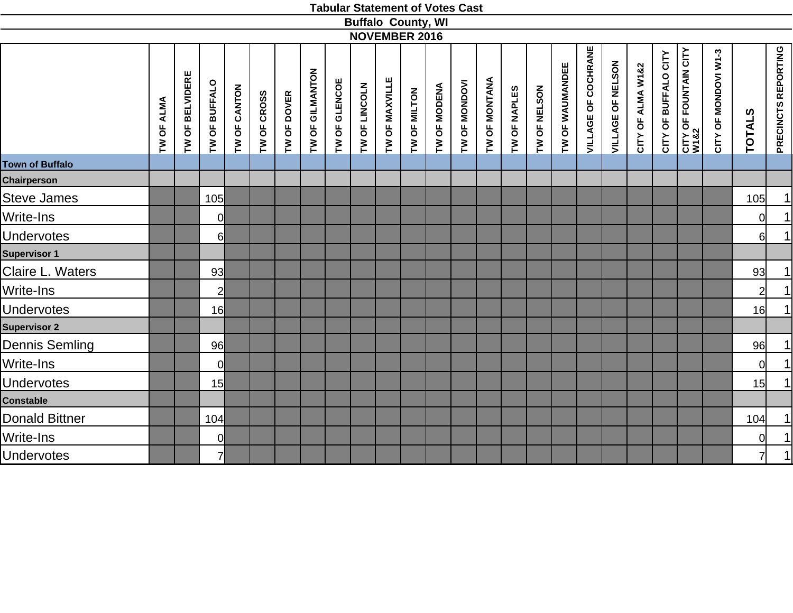|                        |            |                 |                 |              |             |             |                 |               |               |                | <b>Buffalo County, WI</b> |              |               |               |              |              |                 |                            |                   |                   |                      |                                           |                      |               |                     |
|------------------------|------------|-----------------|-----------------|--------------|-------------|-------------|-----------------|---------------|---------------|----------------|---------------------------|--------------|---------------|---------------|--------------|--------------|-----------------|----------------------------|-------------------|-------------------|----------------------|-------------------------------------------|----------------------|---------------|---------------------|
|                        |            |                 |                 |              |             |             |                 |               |               |                | <b>NOVEMBER 2016</b>      |              |               |               |              |              |                 |                            |                   |                   |                      |                                           |                      |               |                     |
|                        | TW OF ALMA | TW OF BELVIDERE | TW OF BUFFALO   | TW OF CANTON | TW OF CROSS | TW OF DOVER | TW OF GILMANTON | TW OF GLENCOE | TW OF LINCOLN | TW OF MAXVILLE | TW OF MILTON              | TW OF MODENA | TW OF MONDOVI | TW OF MONTANA | TW OF NAPLES | TW OF NELSON | TW OF WAUMANDEE | <b>VILLAGE OF COCHRANE</b> | VILLAGE OF NELSON | CITY OF ALMA W1&2 | CITY OF BUFFALO CITY | <b>CITY OF FOUNTAIN CITY<br/>W1&amp;2</b> | CITY OF MONDOVI W1-3 | <b>TOTALS</b> | PRECINCTS REPORTING |
| <b>Town of Buffalo</b> |            |                 |                 |              |             |             |                 |               |               |                |                           |              |               |               |              |              |                 |                            |                   |                   |                      |                                           |                      |               |                     |
| <b>Chairperson</b>     |            |                 |                 |              |             |             |                 |               |               |                |                           |              |               |               |              |              |                 |                            |                   |                   |                      |                                           |                      |               |                     |
| <b>Steve James</b>     |            |                 | 105             |              |             |             |                 |               |               |                |                           |              |               |               |              |              |                 |                            |                   |                   |                      |                                           |                      | 105           | 1                   |
| Write-Ins              |            |                 | $\overline{0}$  |              |             |             |                 |               |               |                |                           |              |               |               |              |              |                 |                            |                   |                   |                      |                                           |                      | <sup>O</sup>  | 1                   |
| <b>Undervotes</b>      |            |                 | 6               |              |             |             |                 |               |               |                |                           |              |               |               |              |              |                 |                            |                   |                   |                      |                                           |                      | $6 \mid$      | 1                   |
| <b>Supervisor 1</b>    |            |                 |                 |              |             |             |                 |               |               |                |                           |              |               |               |              |              |                 |                            |                   |                   |                      |                                           |                      |               |                     |
| Claire L. Waters       |            |                 | 93 <sub>l</sub> |              |             |             |                 |               |               |                |                           |              |               |               |              |              |                 |                            |                   |                   |                      |                                           |                      | 93            | 1                   |
| Write-Ins              |            |                 | $\overline{2}$  |              |             |             |                 |               |               |                |                           |              |               |               |              |              |                 |                            |                   |                   |                      |                                           |                      | $2 \vert$     | 1                   |
| <b>Undervotes</b>      |            |                 | 16              |              |             |             |                 |               |               |                |                           |              |               |               |              |              |                 |                            |                   |                   |                      |                                           |                      | 16            | 1                   |
| <b>Supervisor 2</b>    |            |                 |                 |              |             |             |                 |               |               |                |                           |              |               |               |              |              |                 |                            |                   |                   |                      |                                           |                      |               |                     |
| Dennis Semling         |            |                 | 96              |              |             |             |                 |               |               |                |                           |              |               |               |              |              |                 |                            |                   |                   |                      |                                           |                      | 96            | 1                   |
| Write-Ins              |            |                 | $\overline{0}$  |              |             |             |                 |               |               |                |                           |              |               |               |              |              |                 |                            |                   |                   |                      |                                           |                      | <sup>ol</sup> |                     |
| <b>Undervotes</b>      |            |                 | 15              |              |             |             |                 |               |               |                |                           |              |               |               |              |              |                 |                            |                   |                   |                      |                                           |                      | 15            | $\frac{1}{1}$       |
| <b>Constable</b>       |            |                 |                 |              |             |             |                 |               |               |                |                           |              |               |               |              |              |                 |                            |                   |                   |                      |                                           |                      |               |                     |
| Donald Bittner         |            |                 | 104             |              |             |             |                 |               |               |                |                           |              |               |               |              |              |                 |                            |                   |                   |                      |                                           |                      | 104           | 1                   |
| Write-Ins              |            |                 | $\overline{0}$  |              |             |             |                 |               |               |                |                           |              |               |               |              |              |                 |                            |                   |                   |                      |                                           |                      | <sup>ol</sup> | $\overline{1}$      |
| <b>Undervotes</b>      |            |                 | $\overline{7}$  |              |             |             |                 |               |               |                |                           |              |               |               |              |              |                 |                            |                   |                   |                      |                                           |                      | 7             | 1                   |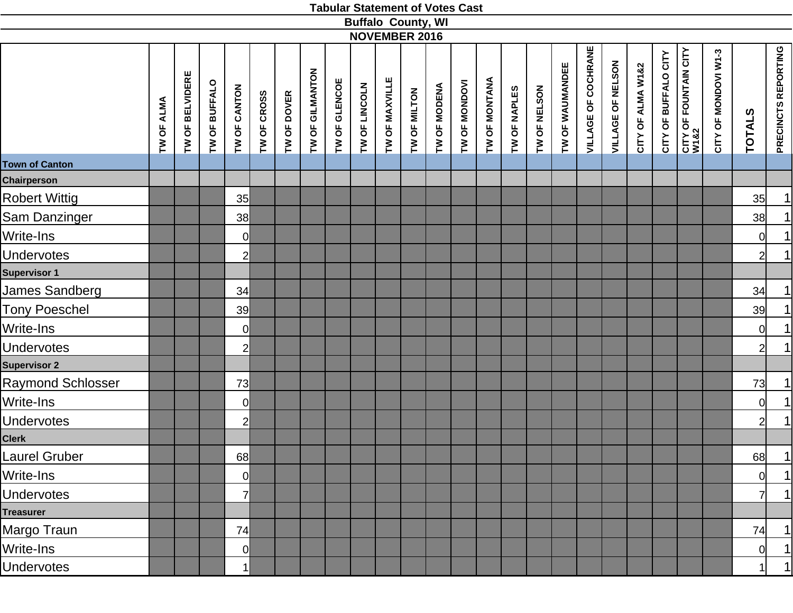|                       |            |                 |               |                |                            |                 |               |               | <b>Buffalo County, WI</b><br><b>NOVEMBER 2016</b> |              |              |               |               |              |              |                 |                            |                          |                   |                      |                                       |                      |                |                     |
|-----------------------|------------|-----------------|---------------|----------------|----------------------------|-----------------|---------------|---------------|---------------------------------------------------|--------------|--------------|---------------|---------------|--------------|--------------|-----------------|----------------------------|--------------------------|-------------------|----------------------|---------------------------------------|----------------------|----------------|---------------------|
|                       | TW OF ALMA | TW OF BELVIDERE | TW OF BUFFALO | TW OF CANTON   | TW OF CROSS<br>TW OF DOVER | TW OF GILMANTON | TW OF GLENCOE | TW OF LINCOLN | TW OF MAXVILLE                                    | TW OF MILTON | TW OF MODENA | TW OF MONDOVI | TW OF MONTANA | TW OF NAPLES | TW OF NELSON | TW OF WAUMANDEE | <b>VILLAGE OF COCHRANE</b> | <b>VILLAGE OF NELSON</b> | CITY OF ALMA W1&2 | CITY OF BUFFALO CITY | <b>CITY OF FOUNTAIN CITY<br/>W182</b> | CITY OF MONDOVI W1-3 | <b>TOTALS</b>  | PRECINCTS REPORTING |
| <b>Town of Canton</b> |            |                 |               |                |                            |                 |               |               |                                                   |              |              |               |               |              |              |                 |                            |                          |                   |                      |                                       |                      |                |                     |
| Chairperson           |            |                 |               |                |                            |                 |               |               |                                                   |              |              |               |               |              |              |                 |                            |                          |                   |                      |                                       |                      |                |                     |
| <b>Robert Wittig</b>  |            |                 |               | 35             |                            |                 |               |               |                                                   |              |              |               |               |              |              |                 |                            |                          |                   |                      |                                       |                      | 35             | $\overline{1}$      |
| Sam Danzinger         |            |                 |               | 38             |                            |                 |               |               |                                                   |              |              |               |               |              |              |                 |                            |                          |                   |                      |                                       |                      | 38             | $\overline{1}$      |
| Write-Ins             |            |                 |               | 0              |                            |                 |               |               |                                                   |              |              |               |               |              |              |                 |                            |                          |                   |                      |                                       |                      | $\overline{O}$ | 1                   |
| <b>Undervotes</b>     |            |                 |               | $\overline{2}$ |                            |                 |               |               |                                                   |              |              |               |               |              |              |                 |                            |                          |                   |                      |                                       |                      | $\overline{2}$ | 1                   |
| Supervisor 1          |            |                 |               |                |                            |                 |               |               |                                                   |              |              |               |               |              |              |                 |                            |                          |                   |                      |                                       |                      |                |                     |
| James Sandberg        |            |                 |               | 34             |                            |                 |               |               |                                                   |              |              |               |               |              |              |                 |                            |                          |                   |                      |                                       |                      | 34             | $\overline{1}$      |
| <b>Tony Poeschel</b>  |            |                 |               | 39             |                            |                 |               |               |                                                   |              |              |               |               |              |              |                 |                            |                          |                   |                      |                                       |                      | 39             | $\overline{1}$      |
| Write-Ins             |            |                 |               | $\overline{0}$ |                            |                 |               |               |                                                   |              |              |               |               |              |              |                 |                            |                          |                   |                      |                                       |                      | 0              | $\overline{1}$      |
| Undervotes            |            |                 |               | $2\vert$       |                            |                 |               |               |                                                   |              |              |               |               |              |              |                 |                            |                          |                   |                      |                                       |                      | $\overline{2}$ | 1                   |
| <b>Supervisor 2</b>   |            |                 |               |                |                            |                 |               |               |                                                   |              |              |               |               |              |              |                 |                            |                          |                   |                      |                                       |                      |                |                     |
| Raymond Schlosser     |            |                 |               | 73             |                            |                 |               |               |                                                   |              |              |               |               |              |              |                 |                            |                          |                   |                      |                                       |                      | 73             | $\overline{1}$      |
| Write-Ins             |            |                 |               | 0              |                            |                 |               |               |                                                   |              |              |               |               |              |              |                 |                            |                          |                   |                      |                                       |                      | 0              | $\overline{1}$      |
| <b>Undervotes</b>     |            |                 |               | $2\vert$       |                            |                 |               |               |                                                   |              |              |               |               |              |              |                 |                            |                          |                   |                      |                                       |                      | $\overline{2}$ | 1                   |
| Clerk                 |            |                 |               |                |                            |                 |               |               |                                                   |              |              |               |               |              |              |                 |                            |                          |                   |                      |                                       |                      |                |                     |
| Laurel Gruber         |            |                 |               | 68             |                            |                 |               |               |                                                   |              |              |               |               |              |              |                 |                            |                          |                   |                      |                                       |                      | 68             | $\overline{1}$      |
| Write-Ins             |            |                 |               | $\overline{0}$ |                            |                 |               |               |                                                   |              |              |               |               |              |              |                 |                            |                          |                   |                      |                                       |                      | $\overline{0}$ | 1                   |
| <b>Undervotes</b>     |            |                 |               | 7              |                            |                 |               |               |                                                   |              |              |               |               |              |              |                 |                            |                          |                   |                      |                                       |                      | 71             | 1                   |
| <b>Treasurer</b>      |            |                 |               |                |                            |                 |               |               |                                                   |              |              |               |               |              |              |                 |                            |                          |                   |                      |                                       |                      |                |                     |
| Margo Traun           |            |                 |               | 74             |                            |                 |               |               |                                                   |              |              |               |               |              |              |                 |                            |                          |                   |                      |                                       |                      | 74             | 1                   |
| Write-Ins             |            |                 |               | <sub>0</sub>   |                            |                 |               |               |                                                   |              |              |               |               |              |              |                 |                            |                          |                   |                      |                                       |                      | <sub>0</sub>   | 1                   |
| <b>Undervotes</b>     |            |                 |               |                |                            |                 |               |               |                                                   |              |              |               |               |              |              |                 |                            |                          |                   |                      |                                       |                      | 11             | 1                   |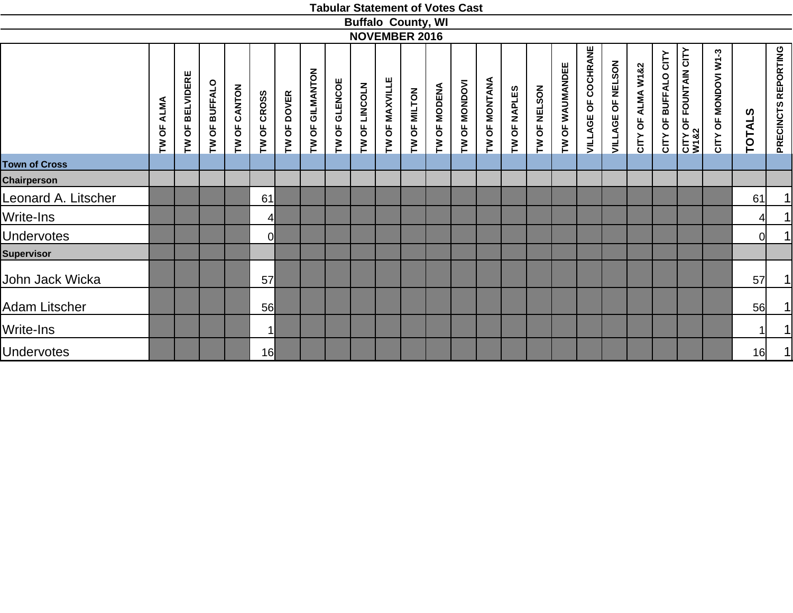|                      |               |                 |                         |              |                       |             |                 |                                                     |               |                | <b>Buffalo County, WI</b> |              |                                                         |               |              |              |                 |                     |                      |                   |                                                  |                                           |                                                 |               |                            |
|----------------------|---------------|-----------------|-------------------------|--------------|-----------------------|-------------|-----------------|-----------------------------------------------------|---------------|----------------|---------------------------|--------------|---------------------------------------------------------|---------------|--------------|--------------|-----------------|---------------------|----------------------|-------------------|--------------------------------------------------|-------------------------------------------|-------------------------------------------------|---------------|----------------------------|
|                      |               |                 |                         |              |                       |             |                 |                                                     |               |                | <b>NOVEMBER 2016</b>      |              |                                                         |               |              |              |                 |                     |                      |                   |                                                  |                                           |                                                 |               |                            |
|                      | ALMA<br>TW OF | TW OF BELVIDERE | <b>BUFFALO</b><br>TW OF | TW OF CANTON | <b>CROSS</b><br>TW OF | TW OF DOVER | TW OF GILMANTON | <b>GLENCOE</b><br>$\overline{\mathsf{O}}$<br>$\sum$ | TW OF LINCOLN | TW OF MAXVILLE | TW OF MILTON              | TW OF MODENA | INONDON<br>$\overline{\mathsf{b}}$<br>$\mathsf{\Sigma}$ | TW OF MONTANA | TW OF NAPLES | TW OF NELSON | TW OF WAUMANDEE | VILLAGE OF COCHRANE | OF NELSON<br>VILLAGE | CITY OF ALMA W1&2 | CITY<br><b>BUFFALO</b><br>$\overline{0}$<br>CITY | <b>FOUNTAIN CITY</b><br>CITY OF I<br>W1&2 | MONDOVI W1-3<br>$\overline{\mathsf{b}}$<br>CITY | <b>TOTALS</b> | <b>PRECINCTS REPORTING</b> |
| <b>Town of Cross</b> |               |                 |                         |              |                       |             |                 |                                                     |               |                |                           |              |                                                         |               |              |              |                 |                     |                      |                   |                                                  |                                           |                                                 |               |                            |
| <b>Chairperson</b>   |               |                 |                         |              |                       |             |                 |                                                     |               |                |                           |              |                                                         |               |              |              |                 |                     |                      |                   |                                                  |                                           |                                                 |               |                            |
| Leonard A. Litscher  |               |                 |                         |              | 61                    |             |                 |                                                     |               |                |                           |              |                                                         |               |              |              |                 |                     |                      |                   |                                                  |                                           |                                                 | 61            | 1                          |
| <b>Write-Ins</b>     |               |                 |                         |              | 41                    |             |                 |                                                     |               |                |                           |              |                                                         |               |              |              |                 |                     |                      |                   |                                                  |                                           |                                                 | 41            | 1                          |
| <b>Undervotes</b>    |               |                 |                         |              | 0                     |             |                 |                                                     |               |                |                           |              |                                                         |               |              |              |                 |                     |                      |                   |                                                  |                                           |                                                 | 0             | 1                          |
| <b>Supervisor</b>    |               |                 |                         |              |                       |             |                 |                                                     |               |                |                           |              |                                                         |               |              |              |                 |                     |                      |                   |                                                  |                                           |                                                 |               |                            |
| John Jack Wicka      |               |                 |                         |              | 57                    |             |                 |                                                     |               |                |                           |              |                                                         |               |              |              |                 |                     |                      |                   |                                                  |                                           |                                                 | 57            | 1                          |
| <b>Adam Litscher</b> |               |                 |                         |              | 56                    |             |                 |                                                     |               |                |                           |              |                                                         |               |              |              |                 |                     |                      |                   |                                                  |                                           |                                                 | 56            | 1                          |
| <b>Write-Ins</b>     |               |                 |                         |              | 1                     |             |                 |                                                     |               |                |                           |              |                                                         |               |              |              |                 |                     |                      |                   |                                                  |                                           |                                                 |               | 1                          |
| <b>Undervotes</b>    |               |                 |                         |              | 16                    |             |                 |                                                     |               |                |                           |              |                                                         |               |              |              |                 |                     |                      |                   |                                                  |                                           |                                                 | 16            | 1                          |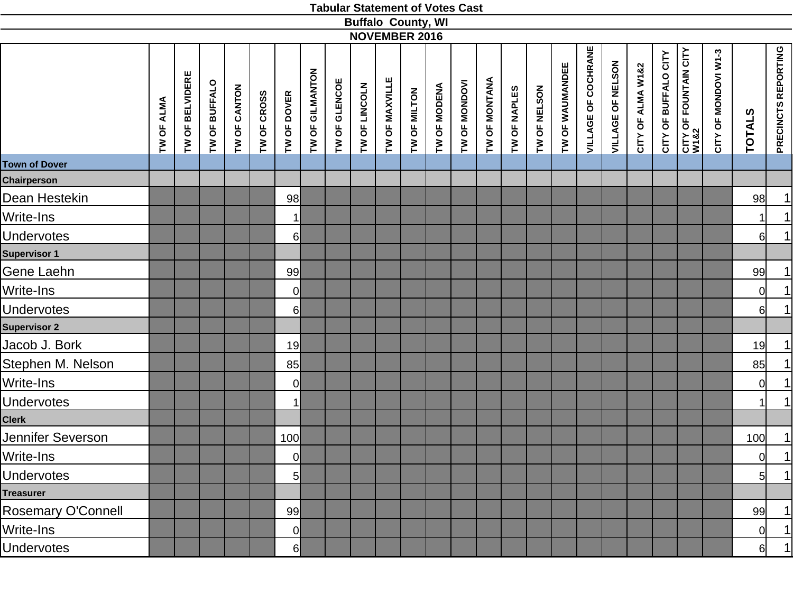|                           |            |                 |               |              |                            |                 |               | <b>Buffalo County, WI</b> | <b>NOVEMBER 2016</b> |              |              |               |               |              |              |                 |                            |                   |                   |                      |                               |                      |                |                     |
|---------------------------|------------|-----------------|---------------|--------------|----------------------------|-----------------|---------------|---------------------------|----------------------|--------------|--------------|---------------|---------------|--------------|--------------|-----------------|----------------------------|-------------------|-------------------|----------------------|-------------------------------|----------------------|----------------|---------------------|
|                           | TW OF ALMA | TW OF BELVIDERE | TW OF BUFFALO | TW OF CANTON | TW OF CROSS<br>TW OF DOVER | TW OF GILMANTON | TW OF GLENCOE | TW OF LINCOLN             | TW OF MAXVILLE       | TW OF MILTON | TW OF MODENA | TW OF MONDOVI | TW OF MONTANA | TW OF NAPLES | TW OF NELSON | TW OF WAUMANDEE | <b>VILLAGE OF COCHRANE</b> | VILLAGE OF NELSON | CITY OF ALMA W1&2 | CITY OF BUFFALO CITY | CITY OF FOUNTAIN CITY<br>W1&2 | CITY OF MONDOVI W1-3 | <b>TOTALS</b>  | PRECINCTS REPORTING |
| <b>Town of Dover</b>      |            |                 |               |              |                            |                 |               |                           |                      |              |              |               |               |              |              |                 |                            |                   |                   |                      |                               |                      |                |                     |
| Chairperson               |            |                 |               |              |                            |                 |               |                           |                      |              |              |               |               |              |              |                 |                            |                   |                   |                      |                               |                      |                |                     |
| Dean Hestekin             |            |                 |               |              | 98                         |                 |               |                           |                      |              |              |               |               |              |              |                 |                            |                   |                   |                      |                               |                      | 98             | 1                   |
| Write-Ins                 |            |                 |               |              | $\mathbf{1}$               |                 |               |                           |                      |              |              |               |               |              |              |                 |                            |                   |                   |                      |                               |                      | 1              | 1                   |
| Undervotes                |            |                 |               |              | $6 \mid$                   |                 |               |                           |                      |              |              |               |               |              |              |                 |                            |                   |                   |                      |                               |                      | 6              | 1                   |
| Supervisor 1              |            |                 |               |              |                            |                 |               |                           |                      |              |              |               |               |              |              |                 |                            |                   |                   |                      |                               |                      |                |                     |
| Gene Laehn                |            |                 |               |              | 99                         |                 |               |                           |                      |              |              |               |               |              |              |                 |                            |                   |                   |                      |                               |                      | 99             | $\overline{1}$      |
| Write-Ins                 |            |                 |               |              | $\overline{0}$             |                 |               |                           |                      |              |              |               |               |              |              |                 |                            |                   |                   |                      |                               |                      | $\overline{0}$ | 1                   |
| <b>Undervotes</b>         |            |                 |               |              | 6                          |                 |               |                           |                      |              |              |               |               |              |              |                 |                            |                   |                   |                      |                               |                      | 6              | 1                   |
| <b>Supervisor 2</b>       |            |                 |               |              |                            |                 |               |                           |                      |              |              |               |               |              |              |                 |                            |                   |                   |                      |                               |                      |                |                     |
| Jacob J. Bork             |            |                 |               |              | 19                         |                 |               |                           |                      |              |              |               |               |              |              |                 |                            |                   |                   |                      |                               |                      | 19             | $\overline{1}$      |
| Stephen M. Nelson         |            |                 |               |              | 85                         |                 |               |                           |                      |              |              |               |               |              |              |                 |                            |                   |                   |                      |                               |                      | 85             | 1                   |
| Write-Ins                 |            |                 |               |              | <sup>o</sup>               |                 |               |                           |                      |              |              |               |               |              |              |                 |                            |                   |                   |                      |                               |                      | $\overline{0}$ | 1                   |
| Undervotes                |            |                 |               |              | 1                          |                 |               |                           |                      |              |              |               |               |              |              |                 |                            |                   |                   |                      |                               |                      | 11             | 1                   |
| <b>Clerk</b>              |            |                 |               |              |                            |                 |               |                           |                      |              |              |               |               |              |              |                 |                            |                   |                   |                      |                               |                      |                |                     |
| Jennifer Severson         |            |                 |               |              | 100                        |                 |               |                           |                      |              |              |               |               |              |              |                 |                            |                   |                   |                      |                               |                      | 100            | $\overline{1}$      |
| Write-Ins                 |            |                 |               |              | 0                          |                 |               |                           |                      |              |              |               |               |              |              |                 |                            |                   |                   |                      |                               |                      | 0              | $\overline{1}$      |
| Undervotes                |            |                 |               |              | 5                          |                 |               |                           |                      |              |              |               |               |              |              |                 |                            |                   |                   |                      |                               |                      | 5 <sub>l</sub> | 1                   |
| <b>Treasurer</b>          |            |                 |               |              |                            |                 |               |                           |                      |              |              |               |               |              |              |                 |                            |                   |                   |                      |                               |                      |                |                     |
| <b>Rosemary O'Connell</b> |            |                 |               |              | 99                         |                 |               |                           |                      |              |              |               |               |              |              |                 |                            |                   |                   |                      |                               |                      | 99             | 1                   |
| Write-Ins                 |            |                 |               |              | 0                          |                 |               |                           |                      |              |              |               |               |              |              |                 |                            |                   |                   |                      |                               |                      | $\overline{0}$ | 1                   |
| <b>Undervotes</b>         |            |                 |               |              | $6 \overline{6}$           |                 |               |                           |                      |              |              |               |               |              |              |                 |                            |                   |                   |                      |                               |                      | 6l             | 1                   |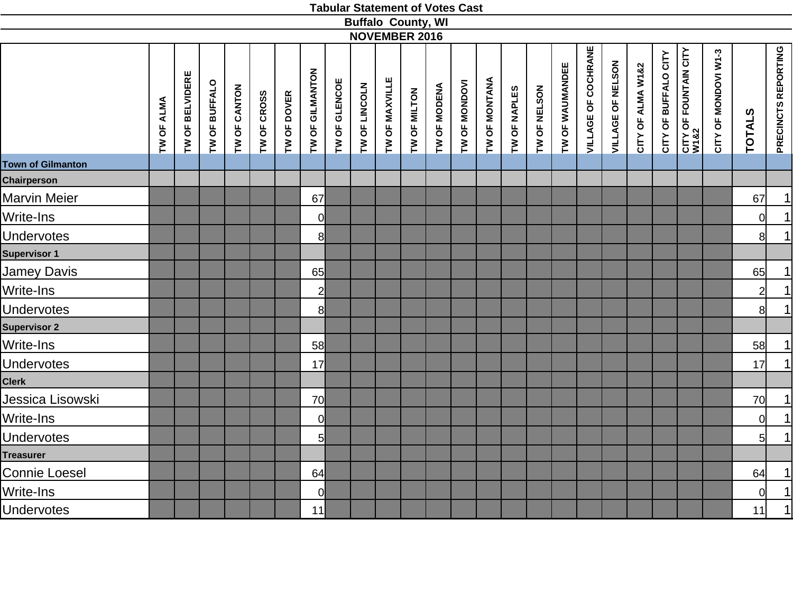|                                                |            |                 |               |              |             |             |                 |               |               |                | <b>Buffalo County, WI</b> |              |               |               |              |              |                 |                            |                   |                   |                      |                                           |                      |                |                            |
|------------------------------------------------|------------|-----------------|---------------|--------------|-------------|-------------|-----------------|---------------|---------------|----------------|---------------------------|--------------|---------------|---------------|--------------|--------------|-----------------|----------------------------|-------------------|-------------------|----------------------|-------------------------------------------|----------------------|----------------|----------------------------|
|                                                |            |                 |               |              |             |             |                 |               |               |                | <b>NOVEMBER 2016</b>      |              |               |               |              |              |                 |                            |                   |                   |                      |                                           |                      |                |                            |
|                                                | TW OF ALMA | TW OF BELVIDERE | TW OF BUFFALO | TW OF CANTON | TW OF CROSS | TW OF DOVER | TW OF GILMANTON | TW OF GLENCOE | TW OF LINCOLN | TW OF MAXVILLE | TW OF MILTON              | TW OF MODENA | TW OF MONDOVI | TW OF MONTANA | TW OF NAPLES | TW OF NELSON | TW OF WAUMANDEE | <b>VILLAGE OF COCHRANE</b> | VILLAGE OF NELSON | CITY OF ALMA W1&2 | CITY OF BUFFALO CITY | <b>CITY OF FOUNTAIN CITY<br/>W1&amp;2</b> | CITY OF MONDOVI W1-3 | <b>TOTALS</b>  | <b>PRECINCTS REPORTING</b> |
| <b>Town of Gilmanton</b><br><b>Chairperson</b> |            |                 |               |              |             |             |                 |               |               |                |                           |              |               |               |              |              |                 |                            |                   |                   |                      |                                           |                      |                |                            |
| <b>Marvin Meier</b>                            |            |                 |               |              |             |             | 67              |               |               |                |                           |              |               |               |              |              |                 |                            |                   |                   |                      |                                           |                      | 67             | 1                          |
| Write-Ins                                      |            |                 |               |              |             |             | $\mathbf 0$     |               |               |                |                           |              |               |               |              |              |                 |                            |                   |                   |                      |                                           |                      | <sub>0</sub>   | 1                          |
| <b>Undervotes</b>                              |            |                 |               |              |             |             | 8               |               |               |                |                           |              |               |               |              |              |                 |                            |                   |                   |                      |                                           |                      | 8              | 1                          |
| <b>Supervisor 1</b>                            |            |                 |               |              |             |             |                 |               |               |                |                           |              |               |               |              |              |                 |                            |                   |                   |                      |                                           |                      |                |                            |
| <b>Jamey Davis</b>                             |            |                 |               |              |             |             | 65              |               |               |                |                           |              |               |               |              |              |                 |                            |                   |                   |                      |                                           |                      | 65             | 1                          |
| Write-Ins                                      |            |                 |               |              |             |             | $\overline{c}$  |               |               |                |                           |              |               |               |              |              |                 |                            |                   |                   |                      |                                           |                      | $\overline{2}$ | $\vert$                    |
| <b>Undervotes</b>                              |            |                 |               |              |             |             | 8               |               |               |                |                           |              |               |               |              |              |                 |                            |                   |                   |                      |                                           |                      | 8 <sup>1</sup> | 1                          |
| <b>Supervisor 2</b>                            |            |                 |               |              |             |             |                 |               |               |                |                           |              |               |               |              |              |                 |                            |                   |                   |                      |                                           |                      |                |                            |
| Write-Ins                                      |            |                 |               |              |             |             | 58              |               |               |                |                           |              |               |               |              |              |                 |                            |                   |                   |                      |                                           |                      | 58             | 1                          |
| <b>Undervotes</b>                              |            |                 |               |              |             |             | 17              |               |               |                |                           |              |               |               |              |              |                 |                            |                   |                   |                      |                                           |                      | 17             | 1                          |
| <b>Clerk</b>                                   |            |                 |               |              |             |             |                 |               |               |                |                           |              |               |               |              |              |                 |                            |                   |                   |                      |                                           |                      |                |                            |
| Jessica Lisowski                               |            |                 |               |              |             |             | 70              |               |               |                |                           |              |               |               |              |              |                 |                            |                   |                   |                      |                                           |                      | 70             | $\vert$                    |
| Write-Ins                                      |            |                 |               |              |             |             | $\overline{0}$  |               |               |                |                           |              |               |               |              |              |                 |                            |                   |                   |                      |                                           |                      | <sub>0</sub>   | 1                          |
| <b>Undervotes</b>                              |            |                 |               |              |             |             | 5               |               |               |                |                           |              |               |               |              |              |                 |                            |                   |                   |                      |                                           |                      | 5 <sup>1</sup> | 1                          |
| <b>Treasurer</b>                               |            |                 |               |              |             |             |                 |               |               |                |                           |              |               |               |              |              |                 |                            |                   |                   |                      |                                           |                      |                |                            |
| Connie Loesel                                  |            |                 |               |              |             |             | 64              |               |               |                |                           |              |               |               |              |              |                 |                            |                   |                   |                      |                                           |                      | 64             | $\vert$                    |
| Write-Ins                                      |            |                 |               |              |             |             | $\overline{0}$  |               |               |                |                           |              |               |               |              |              |                 |                            |                   |                   |                      |                                           |                      | <sub>0</sub>   | $\overline{1}$             |
| <b>Undervotes</b>                              |            |                 |               |              |             |             | 11              |               |               |                |                           |              |               |               |              |              |                 |                            |                   |                   |                      |                                           |                      | 11             | $\vert$                    |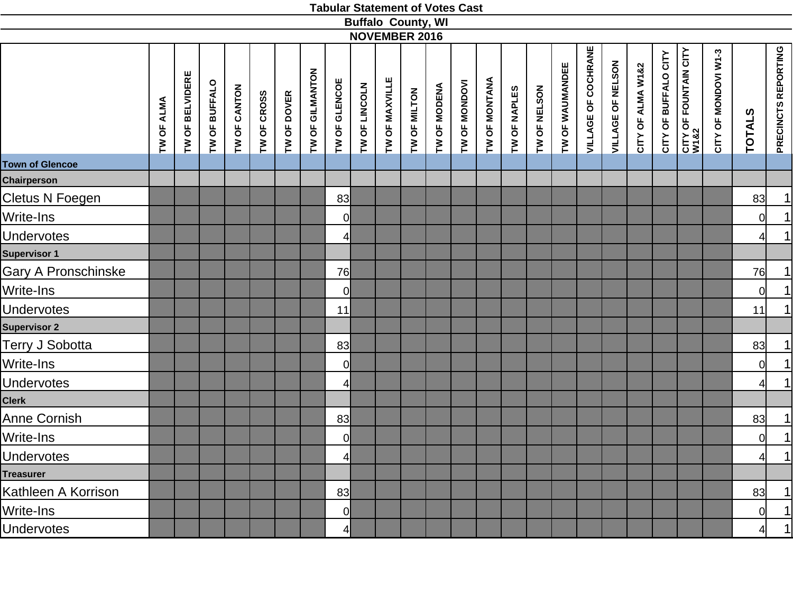|                        |            |                 |               |              |                            |                 |                |               | <b>Buffalo County, WI</b>      |              |               |                      |              |              |                 |                            |                   |                   |                      |                                      |                      |                |                     |
|------------------------|------------|-----------------|---------------|--------------|----------------------------|-----------------|----------------|---------------|--------------------------------|--------------|---------------|----------------------|--------------|--------------|-----------------|----------------------------|-------------------|-------------------|----------------------|--------------------------------------|----------------------|----------------|---------------------|
|                        |            |                 |               |              |                            |                 |                |               | <b>NOVEMBER 2016</b>           |              |               |                      |              |              |                 |                            |                   |                   |                      |                                      |                      |                |                     |
|                        | TW OF ALMA | TW OF BELVIDERE | TW OF BUFFALO | TW OF CANTON | TW OF CROSS<br>TW OF DOVER | TW OF GILMANTON | TW OF GLENCOE  | TW OF LINCOLN | TW OF MAXVILLE<br>TW OF MILTON | TW OF MODENA | TW OF MONDOVI | <b>TW OF MONTANA</b> | TW OF NAPLES | TW OF NELSON | TW OF WAUMANDEE | <b>VILLAGE OF COCHRANE</b> | VILLAGE OF NELSON | CITY OF ALMA W1&2 | CITY OF BUFFALO CITY | <b>CITY OF FOUNTAIN CITY</b><br>W1&2 | CITY OF MONDOVI W1-3 | <b>TOTALS</b>  | PRECINCTS REPORTING |
| <b>Town of Glencoe</b> |            |                 |               |              |                            |                 |                |               |                                |              |               |                      |              |              |                 |                            |                   |                   |                      |                                      |                      |                |                     |
| <b>Chairperson</b>     |            |                 |               |              |                            |                 |                |               |                                |              |               |                      |              |              |                 |                            |                   |                   |                      |                                      |                      |                |                     |
| Cletus N Foegen        |            |                 |               |              |                            |                 | 83             |               |                                |              |               |                      |              |              |                 |                            |                   |                   |                      |                                      |                      | 83             | $\overline{1}$      |
| Write-Ins              |            |                 |               |              |                            |                 | 0              |               |                                |              |               |                      |              |              |                 |                            |                   |                   |                      |                                      |                      | 0              | $\overline{1}$      |
| <b>Undervotes</b>      |            |                 |               |              |                            |                 | 4              |               |                                |              |               |                      |              |              |                 |                            |                   |                   |                      |                                      |                      | 41             | $\overline{1}$      |
| Supervisor 1           |            |                 |               |              |                            |                 |                |               |                                |              |               |                      |              |              |                 |                            |                   |                   |                      |                                      |                      |                |                     |
| Gary A Pronschinske    |            |                 |               |              |                            |                 | 76             |               |                                |              |               |                      |              |              |                 |                            |                   |                   |                      |                                      |                      | 76             |                     |
| Write-Ins              |            |                 |               |              |                            |                 | $\overline{0}$ |               |                                |              |               |                      |              |              |                 |                            |                   |                   |                      |                                      |                      | $\overline{0}$ | $\frac{1}{1}$       |
| <b>Undervotes</b>      |            |                 |               |              |                            |                 | 11             |               |                                |              |               |                      |              |              |                 |                            |                   |                   |                      |                                      |                      | 11             |                     |
| <b>Supervisor 2</b>    |            |                 |               |              |                            |                 |                |               |                                |              |               |                      |              |              |                 |                            |                   |                   |                      |                                      |                      |                |                     |
| Terry J Sobotta        |            |                 |               |              |                            |                 | 83             |               |                                |              |               |                      |              |              |                 |                            |                   |                   |                      |                                      |                      | 83             | $\overline{1}$      |
| Write-Ins              |            |                 |               |              |                            |                 | 0              |               |                                |              |               |                      |              |              |                 |                            |                   |                   |                      |                                      |                      | $\overline{0}$ | $\frac{1}{1}$       |
| <b>Undervotes</b>      |            |                 |               |              |                            |                 | $\overline{4}$ |               |                                |              |               |                      |              |              |                 |                            |                   |                   |                      |                                      |                      | 41             |                     |
| Clerk                  |            |                 |               |              |                            |                 |                |               |                                |              |               |                      |              |              |                 |                            |                   |                   |                      |                                      |                      |                |                     |
| Anne Cornish           |            |                 |               |              |                            |                 | 83             |               |                                |              |               |                      |              |              |                 |                            |                   |                   |                      |                                      |                      | 83             | $\frac{1}{1}$       |
| Write-Ins              |            |                 |               |              |                            |                 | $\overline{0}$ |               |                                |              |               |                      |              |              |                 |                            |                   |                   |                      |                                      |                      | <sup>ol</sup>  |                     |
| <b>Undervotes</b>      |            |                 |               |              |                            |                 | $\overline{4}$ |               |                                |              |               |                      |              |              |                 |                            |                   |                   |                      |                                      |                      | $\overline{4}$ | $\overline{1}$      |
| Treasurer              |            |                 |               |              |                            |                 |                |               |                                |              |               |                      |              |              |                 |                            |                   |                   |                      |                                      |                      |                |                     |
| Kathleen A Korrison    |            |                 |               |              |                            |                 | 83             |               |                                |              |               |                      |              |              |                 |                            |                   |                   |                      |                                      |                      | 83             |                     |
| Write-Ins              |            |                 |               |              |                            |                 | 0              |               |                                |              |               |                      |              |              |                 |                            |                   |                   |                      |                                      |                      | <sup>o</sup>   | $\frac{1}{1}$       |
| <b>Undervotes</b>      |            |                 |               |              |                            |                 | $\mathbf{A}$   |               |                                |              |               |                      |              |              |                 |                            |                   |                   |                      |                                      |                      | 4              |                     |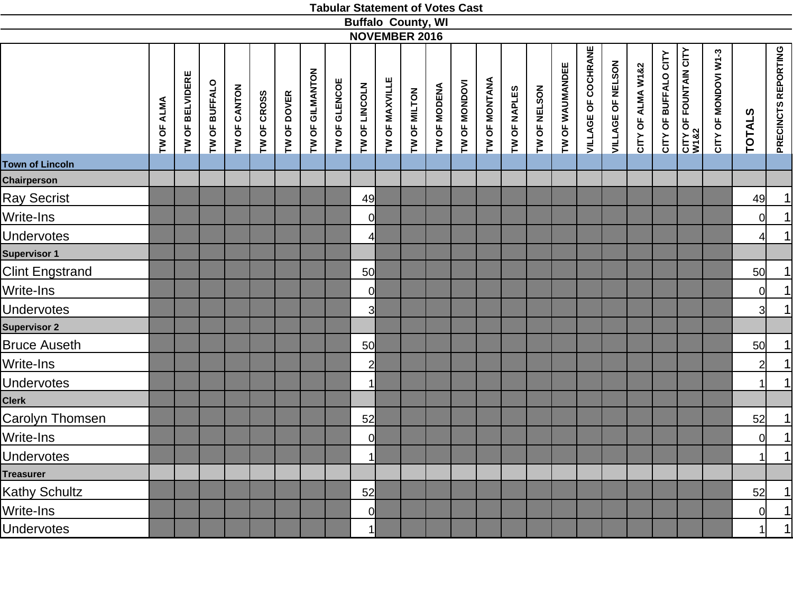|                        |            |                 |               |              |                            |                 |               | <b>Buffalo County, WI</b><br><b>NOVEMBER 2016</b> |                                |              |               |                      |              |              |                 |                            |                   |                   |                      |                               |                      |                |                     |
|------------------------|------------|-----------------|---------------|--------------|----------------------------|-----------------|---------------|---------------------------------------------------|--------------------------------|--------------|---------------|----------------------|--------------|--------------|-----------------|----------------------------|-------------------|-------------------|----------------------|-------------------------------|----------------------|----------------|---------------------|
|                        |            |                 |               |              |                            |                 |               |                                                   |                                |              |               |                      |              |              |                 |                            |                   |                   |                      |                               |                      |                |                     |
|                        | TW OF ALMA | TW OF BELVIDERE | TW OF BUFFALO | TW OF CANTON | TW OF CROSS<br>TW OF DOVER | TW OF GILMANTON | TW OF GLENCOE | TW OF LINCOLN                                     | TW OF MAXVILLE<br>TW OF MILTON | TW OF MODENA | TW OF MONDOVI | <b>TW OF MONTANA</b> | TW OF NAPLES | TW OF NELSON | TW OF WAUMANDEE | <b>VILLAGE OF COCHRANE</b> | VILLAGE OF NELSON | CITY OF ALMA W1&2 | CITY OF BUFFALO CITY | CITY OF FOUNTAIN CITY<br>W1&2 | CITY OF MONDOVI W1-3 | <b>TOTALS</b>  | PRECINCTS REPORTING |
| <b>Town of Lincoln</b> |            |                 |               |              |                            |                 |               |                                                   |                                |              |               |                      |              |              |                 |                            |                   |                   |                      |                               |                      |                |                     |
| Chairperson            |            |                 |               |              |                            |                 |               |                                                   |                                |              |               |                      |              |              |                 |                            |                   |                   |                      |                               |                      |                |                     |
| <b>Ray Secrist</b>     |            |                 |               |              |                            |                 |               | 49                                                |                                |              |               |                      |              |              |                 |                            |                   |                   |                      |                               |                      | 49             | $\overline{1}$      |
| Write-Ins              |            |                 |               |              |                            |                 |               | $\overline{0}$                                    |                                |              |               |                      |              |              |                 |                            |                   |                   |                      |                               |                      | 0              | 1                   |
| <b>Undervotes</b>      |            |                 |               |              |                            |                 |               | $\overline{4}$                                    |                                |              |               |                      |              |              |                 |                            |                   |                   |                      |                               |                      | 4              | 1                   |
| Supervisor 1           |            |                 |               |              |                            |                 |               |                                                   |                                |              |               |                      |              |              |                 |                            |                   |                   |                      |                               |                      |                |                     |
| <b>Clint Engstrand</b> |            |                 |               |              |                            |                 |               | 50                                                |                                |              |               |                      |              |              |                 |                            |                   |                   |                      |                               |                      | 50             | 1                   |
| Write-Ins              |            |                 |               |              |                            |                 |               | $\overline{0}$                                    |                                |              |               |                      |              |              |                 |                            |                   |                   |                      |                               |                      | $\overline{0}$ | $\overline{1}$      |
| <b>Undervotes</b>      |            |                 |               |              |                            |                 |               | 3                                                 |                                |              |               |                      |              |              |                 |                            |                   |                   |                      |                               |                      | 3              | 1                   |
| <b>Supervisor 2</b>    |            |                 |               |              |                            |                 |               |                                                   |                                |              |               |                      |              |              |                 |                            |                   |                   |                      |                               |                      |                |                     |
| <b>Bruce Auseth</b>    |            |                 |               |              |                            |                 |               | 50                                                |                                |              |               |                      |              |              |                 |                            |                   |                   |                      |                               |                      | 50             | 1                   |
| Write-Ins              |            |                 |               |              |                            |                 |               | $\overline{2}$                                    |                                |              |               |                      |              |              |                 |                            |                   |                   |                      |                               |                      | $2\vert$       | $\overline{1}$      |
| <b>Undervotes</b>      |            |                 |               |              |                            |                 |               | $\mathbf{1}$                                      |                                |              |               |                      |              |              |                 |                            |                   |                   |                      |                               |                      | 1              | 1                   |
| Clerk                  |            |                 |               |              |                            |                 |               |                                                   |                                |              |               |                      |              |              |                 |                            |                   |                   |                      |                               |                      |                |                     |
| Carolyn Thomsen        |            |                 |               |              |                            |                 |               | 52                                                |                                |              |               |                      |              |              |                 |                            |                   |                   |                      |                               |                      | 52             | $\overline{1}$      |
| Write-Ins              |            |                 |               |              |                            |                 |               | $\overline{0}$                                    |                                |              |               |                      |              |              |                 |                            |                   |                   |                      |                               |                      | $\overline{0}$ | 1                   |
| <b>Undervotes</b>      |            |                 |               |              |                            |                 |               | $\mathbf{1}$                                      |                                |              |               |                      |              |              |                 |                            |                   |                   |                      |                               |                      | $\mathbf{1}$   | 1                   |
| Treasurer              |            |                 |               |              |                            |                 |               |                                                   |                                |              |               |                      |              |              |                 |                            |                   |                   |                      |                               |                      |                |                     |
| Kathy Schultz          |            |                 |               |              |                            |                 |               | 52                                                |                                |              |               |                      |              |              |                 |                            |                   |                   |                      |                               |                      | 52             | 1                   |
| Write-Ins              |            |                 |               |              |                            |                 |               | 0                                                 |                                |              |               |                      |              |              |                 |                            |                   |                   |                      |                               |                      | $\overline{0}$ | $\frac{1}{1}$       |
| <b>Undervotes</b>      |            |                 |               |              |                            |                 |               | 1 <sup>1</sup>                                    |                                |              |               |                      |              |              |                 |                            |                   |                   |                      |                               |                      | 1              |                     |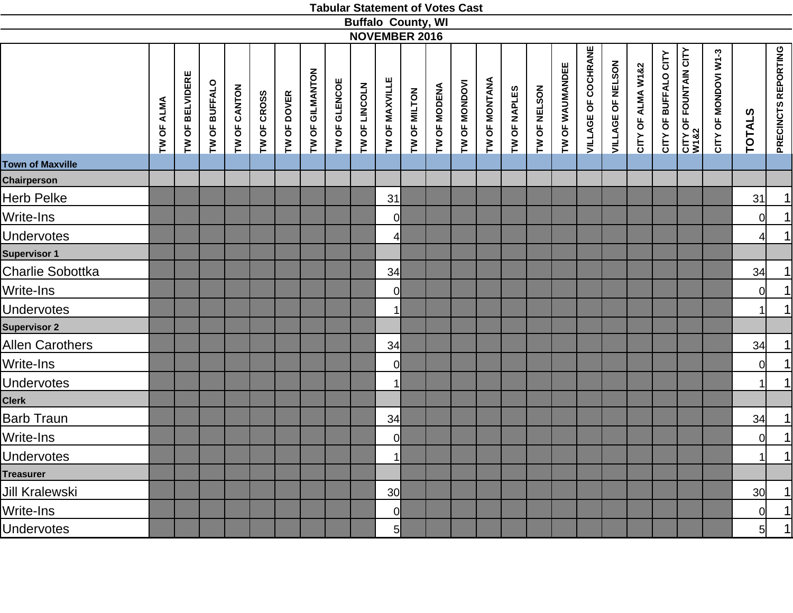|                         |            |                 |               |              |             |             |                 |               |               | <b>Buffalo County, WI</b><br><b>NOVEMBER 2016</b> |                                |              |               |                      |              |              |                 |                            |                   |                   |                      |                                      |                      |                      |                         |
|-------------------------|------------|-----------------|---------------|--------------|-------------|-------------|-----------------|---------------|---------------|---------------------------------------------------|--------------------------------|--------------|---------------|----------------------|--------------|--------------|-----------------|----------------------------|-------------------|-------------------|----------------------|--------------------------------------|----------------------|----------------------|-------------------------|
|                         |            |                 |               |              |             |             |                 |               |               |                                                   |                                |              |               |                      |              |              |                 |                            |                   |                   |                      |                                      |                      |                      |                         |
|                         | TW OF ALMA | TW OF BELVIDERE | TW OF BUFFALO | TW OF CANTON | TW OF CROSS | TW OF DOVER | TW OF GILMANTON | TW OF GLENCOE | TW OF LINCOLN |                                                   | TW OF MAXVILLE<br>TW OF MILTON | TW OF MODENA | TW OF MONDOVI | <b>TW OF MONTANA</b> | TW OF NAPLES | TW OF NELSON | TW OF WAUMANDEE | <b>VILLAGE OF COCHRANE</b> | VILLAGE OF NELSON | CITY OF ALMA W1&2 | CITY OF BUFFALO CITY | <b>CITY OF FOUNTAIN CITY</b><br>W1&2 | CITY OF MONDOVI W1-3 | <b>TOTALS</b>        | PRECINCTS REPORTING     |
| <b>Town of Maxville</b> |            |                 |               |              |             |             |                 |               |               |                                                   |                                |              |               |                      |              |              |                 |                            |                   |                   |                      |                                      |                      |                      |                         |
| Chairperson             |            |                 |               |              |             |             |                 |               |               |                                                   |                                |              |               |                      |              |              |                 |                            |                   |                   |                      |                                      |                      |                      |                         |
| Herb Pelke              |            |                 |               |              |             |             |                 |               |               | 31                                                |                                |              |               |                      |              |              |                 |                            |                   |                   |                      |                                      |                      | 31                   | $\overline{1}$          |
| Write-Ins               |            |                 |               |              |             |             |                 |               |               | 0                                                 |                                |              |               |                      |              |              |                 |                            |                   |                   |                      |                                      |                      | 0                    | $\overline{\mathbf{1}}$ |
| <b>Undervotes</b>       |            |                 |               |              |             |             |                 |               |               | 4                                                 |                                |              |               |                      |              |              |                 |                            |                   |                   |                      |                                      |                      | 41                   | $\overline{1}$          |
| Supervisor 1            |            |                 |               |              |             |             |                 |               |               |                                                   |                                |              |               |                      |              |              |                 |                            |                   |                   |                      |                                      |                      |                      |                         |
| Charlie Sobottka        |            |                 |               |              |             |             |                 |               |               | 34                                                |                                |              |               |                      |              |              |                 |                            |                   |                   |                      |                                      |                      | 34                   |                         |
| Write-Ins               |            |                 |               |              |             |             |                 |               |               | $\mathsf{O}$                                      |                                |              |               |                      |              |              |                 |                            |                   |                   |                      |                                      |                      | <sub>0</sub>         | $\frac{1}{1}$           |
| <b>Undervotes</b>       |            |                 |               |              |             |             |                 |               |               | $\mathbf{1}$                                      |                                |              |               |                      |              |              |                 |                            |                   |                   |                      |                                      |                      | $\mathbf{1}$         | 1                       |
| <b>Supervisor 2</b>     |            |                 |               |              |             |             |                 |               |               |                                                   |                                |              |               |                      |              |              |                 |                            |                   |                   |                      |                                      |                      |                      |                         |
| Allen Carothers         |            |                 |               |              |             |             |                 |               |               | 34                                                |                                |              |               |                      |              |              |                 |                            |                   |                   |                      |                                      |                      | 34                   |                         |
| Write-Ins               |            |                 |               |              |             |             |                 |               |               | $\mathsf{O}$                                      |                                |              |               |                      |              |              |                 |                            |                   |                   |                      |                                      |                      | $\overline{0}$       | $\frac{1}{1}$           |
| <b>Undervotes</b>       |            |                 |               |              |             |             |                 |               |               | $\mathbf{1}$                                      |                                |              |               |                      |              |              |                 |                            |                   |                   |                      |                                      |                      | $\mathbf{1}$         |                         |
| <b>Clerk</b>            |            |                 |               |              |             |             |                 |               |               |                                                   |                                |              |               |                      |              |              |                 |                            |                   |                   |                      |                                      |                      |                      |                         |
| <b>Barb Traun</b>       |            |                 |               |              |             |             |                 |               |               | 34                                                |                                |              |               |                      |              |              |                 |                            |                   |                   |                      |                                      |                      | 34                   |                         |
| Write-Ins               |            |                 |               |              |             |             |                 |               |               | $\mathsf{O}$                                      |                                |              |               |                      |              |              |                 |                            |                   |                   |                      |                                      |                      | <sub>0</sub>         | $\frac{1}{1}$           |
| <b>Undervotes</b>       |            |                 |               |              |             |             |                 |               |               | $\mathbf{1}$                                      |                                |              |               |                      |              |              |                 |                            |                   |                   |                      |                                      |                      | $\blacktriangleleft$ | $\overline{1}$          |
| Treasurer               |            |                 |               |              |             |             |                 |               |               |                                                   |                                |              |               |                      |              |              |                 |                            |                   |                   |                      |                                      |                      |                      |                         |
| Jill Kralewski          |            |                 |               |              |             |             |                 |               |               | 30                                                |                                |              |               |                      |              |              |                 |                            |                   |                   |                      |                                      |                      | 30 <sup>l</sup>      |                         |
| Write-Ins               |            |                 |               |              |             |             |                 |               |               | $\overline{0}$                                    |                                |              |               |                      |              |              |                 |                            |                   |                   |                      |                                      |                      | <sup>o</sup>         | $\frac{1}{1}$           |
| <b>Undervotes</b>       |            |                 |               |              |             |             |                 |               |               | 5 <sup>1</sup>                                    |                                |              |               |                      |              |              |                 |                            |                   |                   |                      |                                      |                      | 5                    |                         |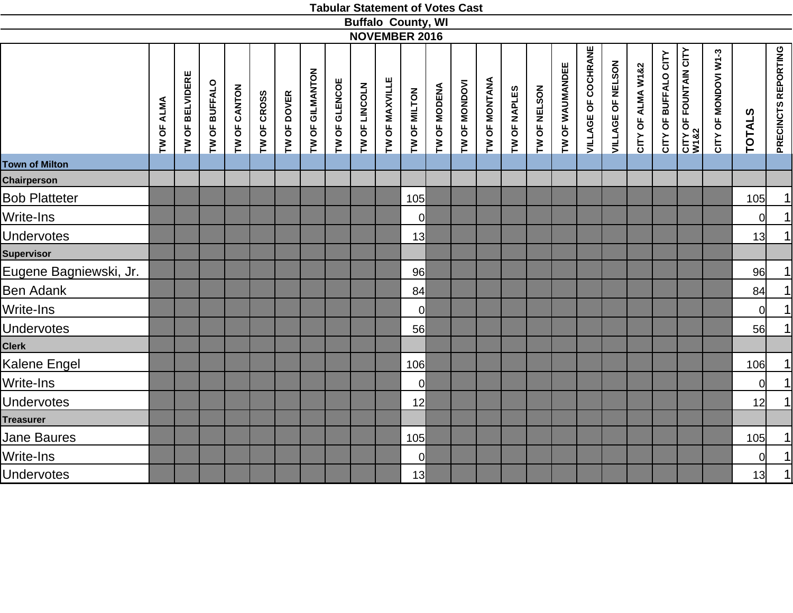|                        |                      |                 |                      |              |             |             |                 |               |               |                | <b>Buffalo County, WI</b> |              |               |               |              |              |                 |                            |                   |                   |                      |                                           |                      |               |                            |
|------------------------|----------------------|-----------------|----------------------|--------------|-------------|-------------|-----------------|---------------|---------------|----------------|---------------------------|--------------|---------------|---------------|--------------|--------------|-----------------|----------------------------|-------------------|-------------------|----------------------|-------------------------------------------|----------------------|---------------|----------------------------|
|                        |                      |                 |                      |              |             |             |                 |               |               |                | <b>NOVEMBER 2016</b>      |              |               |               |              |              |                 |                            |                   |                   |                      |                                           |                      |               |                            |
|                        | <b>ALMA</b><br>TW OF | TW OF BELVIDERE | <b>TW OF BUFFALO</b> | TW OF CANTON | TW OF CROSS | TW OF DOVER | TW OF GILMANTON | TW OF GLENCOE | TW OF LINCOLN | TW OF MAXVILLE | TW OF MILTON              | TW OF MODENA | TW OF MONDOVI | TW OF MONTANA | TW OF NAPLES | TW OF NELSON | TW OF WAUMANDEE | <b>VILLAGE OF COCHRANE</b> | VILLAGE OF NELSON | CITY OF ALMA W1&2 | CITY OF BUFFALO CITY | <b>CITY OF FOUNTAIN CITY<br/>W1&amp;2</b> | CITY OF MONDOVI W1-3 | <b>TOTALS</b> | <b>PRECINCTS REPORTING</b> |
| <b>Town of Milton</b>  |                      |                 |                      |              |             |             |                 |               |               |                |                           |              |               |               |              |              |                 |                            |                   |                   |                      |                                           |                      |               |                            |
| <b>Chairperson</b>     |                      |                 |                      |              |             |             |                 |               |               |                |                           |              |               |               |              |              |                 |                            |                   |                   |                      |                                           |                      |               |                            |
| <b>Bob Platteter</b>   |                      |                 |                      |              |             |             |                 |               |               |                | 105                       |              |               |               |              |              |                 |                            |                   |                   |                      |                                           |                      | 105           | 1                          |
| Write-Ins              |                      |                 |                      |              |             |             |                 |               |               |                | $\overline{0}$            |              |               |               |              |              |                 |                            |                   |                   |                      |                                           |                      | 0             | $\vert$                    |
| <b>Undervotes</b>      |                      |                 |                      |              |             |             |                 |               |               |                | 13                        |              |               |               |              |              |                 |                            |                   |                   |                      |                                           |                      | 13            | 1                          |
| <b>Supervisor</b>      |                      |                 |                      |              |             |             |                 |               |               |                |                           |              |               |               |              |              |                 |                            |                   |                   |                      |                                           |                      |               |                            |
| Eugene Bagniewski, Jr. |                      |                 |                      |              |             |             |                 |               |               |                | 96                        |              |               |               |              |              |                 |                            |                   |                   |                      |                                           |                      | 96            | $\vert$                    |
| <b>Ben Adank</b>       |                      |                 |                      |              |             |             |                 |               |               |                | 84                        |              |               |               |              |              |                 |                            |                   |                   |                      |                                           |                      | 84            | $\frac{1}{1}$              |
| Write-Ins              |                      |                 |                      |              |             |             |                 |               |               |                | $\mathbf 0$               |              |               |               |              |              |                 |                            |                   |                   |                      |                                           |                      | 0l            |                            |
| <b>Undervotes</b>      |                      |                 |                      |              |             |             |                 |               |               |                | 56                        |              |               |               |              |              |                 |                            |                   |                   |                      |                                           |                      | 56            | 1                          |
| <b>Clerk</b>           |                      |                 |                      |              |             |             |                 |               |               |                |                           |              |               |               |              |              |                 |                            |                   |                   |                      |                                           |                      |               |                            |
| Kalene Engel           |                      |                 |                      |              |             |             |                 |               |               |                | 106                       |              |               |               |              |              |                 |                            |                   |                   |                      |                                           |                      | 106           | 1                          |
| Write-Ins              |                      |                 |                      |              |             |             |                 |               |               |                | $\overline{0}$            |              |               |               |              |              |                 |                            |                   |                   |                      |                                           |                      | 0             | 1                          |
| <b>Undervotes</b>      |                      |                 |                      |              |             |             |                 |               |               |                | 12                        |              |               |               |              |              |                 |                            |                   |                   |                      |                                           |                      | 12            | 1                          |
| <b>Treasurer</b>       |                      |                 |                      |              |             |             |                 |               |               |                |                           |              |               |               |              |              |                 |                            |                   |                   |                      |                                           |                      |               |                            |
| Jane Baures            |                      |                 |                      |              |             |             |                 |               |               |                | 105                       |              |               |               |              |              |                 |                            |                   |                   |                      |                                           |                      | 105           | 1                          |
| Write-Ins              |                      |                 |                      |              |             |             |                 |               |               |                | $\overline{0}$            |              |               |               |              |              |                 |                            |                   |                   |                      |                                           |                      | <sub>0</sub>  | 1                          |
| <b>Undervotes</b>      |                      |                 |                      |              |             |             |                 |               |               |                | 13                        |              |               |               |              |              |                 |                            |                   |                   |                      |                                           |                      | 13            | 1                          |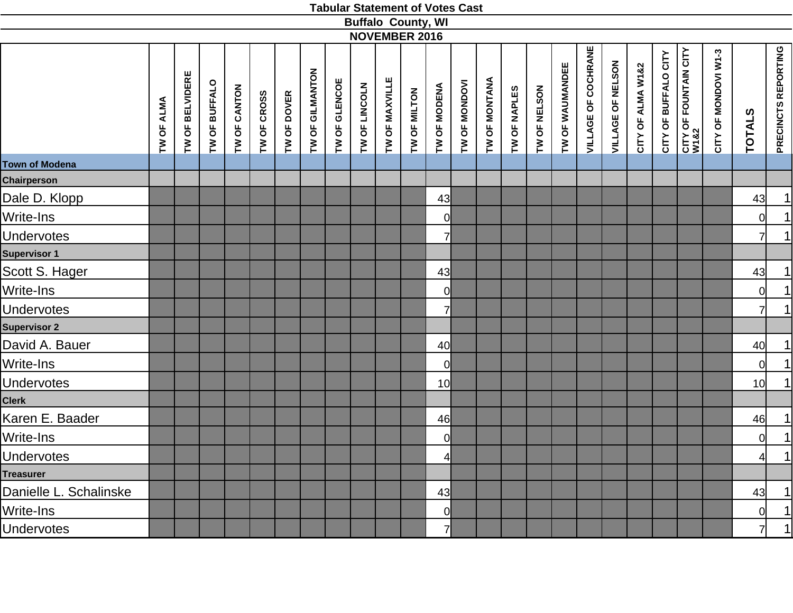|                        |            |                 |               |              |                            |                 |               |               | <b>Buffalo County, WI</b>      |                 |               |                      |              |              |                 |                            |                   |                   |                      |                                      |                      |                 |                     |
|------------------------|------------|-----------------|---------------|--------------|----------------------------|-----------------|---------------|---------------|--------------------------------|-----------------|---------------|----------------------|--------------|--------------|-----------------|----------------------------|-------------------|-------------------|----------------------|--------------------------------------|----------------------|-----------------|---------------------|
|                        |            |                 |               |              |                            |                 |               |               | <b>NOVEMBER 2016</b>           |                 |               |                      |              |              |                 |                            |                   |                   |                      |                                      |                      |                 |                     |
|                        | TW OF ALMA | TW OF BELVIDERE | TW OF BUFFALO | TW OF CANTON | TW OF CROSS<br>TW OF DOVER | TW OF GILMANTON | TW OF GLENCOE | TW OF LINCOLN | TW OF MAXVILLE<br>TW OF MILTON | TW OF MODENA    | TW OF MONDOVI | <b>TW OF MONTANA</b> | TW OF NAPLES | TW OF NELSON | TW OF WAUMANDEE | <b>VILLAGE OF COCHRANE</b> | VILLAGE OF NELSON | CITY OF ALMA W1&2 | CITY OF BUFFALO CITY | <b>CITY OF FOUNTAIN CITY</b><br>W1&2 | CITY OF MONDOVI W1-3 | <b>TOTALS</b>   | PRECINCTS REPORTING |
| Town of Modena         |            |                 |               |              |                            |                 |               |               |                                |                 |               |                      |              |              |                 |                            |                   |                   |                      |                                      |                      |                 |                     |
| <b>Chairperson</b>     |            |                 |               |              |                            |                 |               |               |                                |                 |               |                      |              |              |                 |                            |                   |                   |                      |                                      |                      |                 |                     |
| Dale D. Klopp          |            |                 |               |              |                            |                 |               |               |                                | 43              |               |                      |              |              |                 |                            |                   |                   |                      |                                      |                      | 43              | $\overline{1}$      |
| Write-Ins              |            |                 |               |              |                            |                 |               |               |                                | 0l              |               |                      |              |              |                 |                            |                   |                   |                      |                                      |                      | 0               | $\boxed{1}$         |
| <b>Undervotes</b>      |            |                 |               |              |                            |                 |               |               |                                | 7               |               |                      |              |              |                 |                            |                   |                   |                      |                                      |                      | $\overline{7}$  | 1                   |
| Supervisor 1           |            |                 |               |              |                            |                 |               |               |                                |                 |               |                      |              |              |                 |                            |                   |                   |                      |                                      |                      |                 |                     |
| Scott S. Hager         |            |                 |               |              |                            |                 |               |               |                                | 43              |               |                      |              |              |                 |                            |                   |                   |                      |                                      |                      | 43              |                     |
| Write-Ins              |            |                 |               |              |                            |                 |               |               |                                | $\overline{0}$  |               |                      |              |              |                 |                            |                   |                   |                      |                                      |                      | $\overline{0}$  | $\frac{1}{1}$       |
| <b>Undervotes</b>      |            |                 |               |              |                            |                 |               |               |                                | 7               |               |                      |              |              |                 |                            |                   |                   |                      |                                      |                      | $\overline{7}$  |                     |
| Supervisor 2           |            |                 |               |              |                            |                 |               |               |                                |                 |               |                      |              |              |                 |                            |                   |                   |                      |                                      |                      |                 |                     |
| David A. Bauer         |            |                 |               |              |                            |                 |               |               |                                | 40              |               |                      |              |              |                 |                            |                   |                   |                      |                                      |                      | 40              | $\overline{1}$      |
| Write-Ins              |            |                 |               |              |                            |                 |               |               |                                | 0l              |               |                      |              |              |                 |                            |                   |                   |                      |                                      |                      | $\overline{0}$  | $\overline{1}$      |
| <b>Undervotes</b>      |            |                 |               |              |                            |                 |               |               |                                | 10 <sup>1</sup> |               |                      |              |              |                 |                            |                   |                   |                      |                                      |                      | 10 <sup>1</sup> | $\overline{1}$      |
| Clerk                  |            |                 |               |              |                            |                 |               |               |                                |                 |               |                      |              |              |                 |                            |                   |                   |                      |                                      |                      |                 |                     |
| Karen E. Baader        |            |                 |               |              |                            |                 |               |               |                                | 46              |               |                      |              |              |                 |                            |                   |                   |                      |                                      |                      | 46              | $\frac{1}{1}$       |
| Write-Ins              |            |                 |               |              |                            |                 |               |               |                                | $\overline{0}$  |               |                      |              |              |                 |                            |                   |                   |                      |                                      |                      | 0               |                     |
| <b>Undervotes</b>      |            |                 |               |              |                            |                 |               |               |                                | $\overline{4}$  |               |                      |              |              |                 |                            |                   |                   |                      |                                      |                      | $\overline{4}$  | $\overline{1}$      |
| Treasurer              |            |                 |               |              |                            |                 |               |               |                                |                 |               |                      |              |              |                 |                            |                   |                   |                      |                                      |                      |                 |                     |
| Danielle L. Schalinske |            |                 |               |              |                            |                 |               |               |                                | 43              |               |                      |              |              |                 |                            |                   |                   |                      |                                      |                      | 43              |                     |
| Write-Ins              |            |                 |               |              |                            |                 |               |               |                                | $\overline{0}$  |               |                      |              |              |                 |                            |                   |                   |                      |                                      |                      | 0               | $\frac{1}{1}$       |
| Undervotes             |            |                 |               |              |                            |                 |               |               |                                | 7 <sup>1</sup>  |               |                      |              |              |                 |                            |                   |                   |                      |                                      |                      | $\overline{7}$  |                     |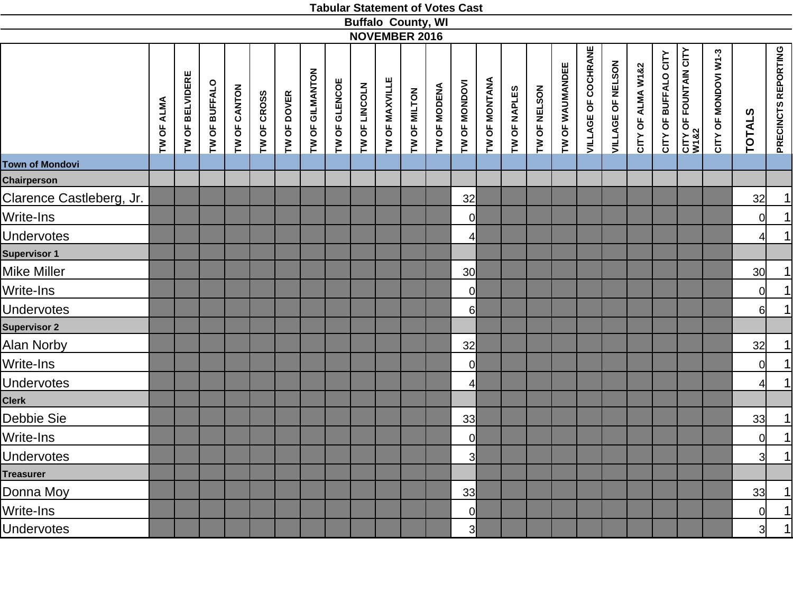|                          |            |                 |               |              |             |             |                 |               |               | <b>Buffalo County, WI</b> |                                |              |                         |                      |              |              |                 |                            |                   |                   |                      |                                           |                      |                 |                                       |
|--------------------------|------------|-----------------|---------------|--------------|-------------|-------------|-----------------|---------------|---------------|---------------------------|--------------------------------|--------------|-------------------------|----------------------|--------------|--------------|-----------------|----------------------------|-------------------|-------------------|----------------------|-------------------------------------------|----------------------|-----------------|---------------------------------------|
|                          |            |                 |               |              |             |             |                 |               |               | <b>NOVEMBER 2016</b>      |                                |              |                         |                      |              |              |                 |                            |                   |                   |                      |                                           |                      |                 |                                       |
|                          | TW OF ALMA | TW OF BELVIDERE | TW OF BUFFALO | TW OF CANTON | TW OF CROSS | TW OF DOVER | TW OF GILMANTON | TW OF GLENCOE | TW OF LINCOLN |                           | TW OF MAXVILLE<br>TW OF MILTON | TW OF MODENA | TW OF MONDOVI           | <b>TW OF MONTANA</b> | TW OF NAPLES | TW OF NELSON | TW OF WAUMANDEE | <b>VILLAGE OF COCHRANE</b> | VILLAGE OF NELSON | CITY OF ALMA W1&2 | CITY OF BUFFALO CITY | <b>CITY OF FOUNTAIN CITY<br/>W1&amp;2</b> | CITY OF MONDOVI W1-3 | <b>TOTALS</b>   | PRECINCTS REPORTING                   |
| <b>Town of Mondovi</b>   |            |                 |               |              |             |             |                 |               |               |                           |                                |              |                         |                      |              |              |                 |                            |                   |                   |                      |                                           |                      |                 |                                       |
| <b>Chairperson</b>       |            |                 |               |              |             |             |                 |               |               |                           |                                |              |                         |                      |              |              |                 |                            |                   |                   |                      |                                           |                      |                 |                                       |
| Clarence Castleberg, Jr. |            |                 |               |              |             |             |                 |               |               |                           |                                |              | 32                      |                      |              |              |                 |                            |                   |                   |                      |                                           |                      | 32              |                                       |
| Write-Ins                |            |                 |               |              |             |             |                 |               |               |                           |                                |              | <sup>o</sup>            |                      |              |              |                 |                            |                   |                   |                      |                                           |                      | 0               | $\frac{1}{1}$                         |
| Undervotes               |            |                 |               |              |             |             |                 |               |               |                           |                                |              | $\overline{4}$          |                      |              |              |                 |                            |                   |                   |                      |                                           |                      | 41              |                                       |
| Supervisor 1             |            |                 |               |              |             |             |                 |               |               |                           |                                |              |                         |                      |              |              |                 |                            |                   |                   |                      |                                           |                      |                 |                                       |
| Mike Miller              |            |                 |               |              |             |             |                 |               |               |                           |                                |              | 30 <sup>l</sup>         |                      |              |              |                 |                            |                   |                   |                      |                                           |                      | 30 <sub>l</sub> | $\overline{1}$                        |
| Write-Ins                |            |                 |               |              |             |             |                 |               |               |                           |                                |              | <sup>o</sup>            |                      |              |              |                 |                            |                   |                   |                      |                                           |                      | $\overline{0}$  | $\overline{1}$                        |
| <b>Undervotes</b>        |            |                 |               |              |             |             |                 |               |               |                           |                                |              | $6 \mid$                |                      |              |              |                 |                            |                   |                   |                      |                                           |                      | $6 \mid$        | 1                                     |
| <b>Supervisor 2</b>      |            |                 |               |              |             |             |                 |               |               |                           |                                |              |                         |                      |              |              |                 |                            |                   |                   |                      |                                           |                      |                 |                                       |
| Alan Norby               |            |                 |               |              |             |             |                 |               |               |                           |                                |              | 32                      |                      |              |              |                 |                            |                   |                   |                      |                                           |                      | 32              |                                       |
| Write-Ins                |            |                 |               |              |             |             |                 |               |               |                           |                                |              | 0                       |                      |              |              |                 |                            |                   |                   |                      |                                           |                      | 0               | $\frac{1}{1}$                         |
| <b>Undervotes</b>        |            |                 |               |              |             |             |                 |               |               |                           |                                |              | $\overline{4}$          |                      |              |              |                 |                            |                   |                   |                      |                                           |                      | $\overline{4}$  |                                       |
| <b>Clerk</b>             |            |                 |               |              |             |             |                 |               |               |                           |                                |              |                         |                      |              |              |                 |                            |                   |                   |                      |                                           |                      |                 |                                       |
| Debbie Sie               |            |                 |               |              |             |             |                 |               |               |                           |                                |              | 33                      |                      |              |              |                 |                            |                   |                   |                      |                                           |                      | 33              |                                       |
| Write-Ins                |            |                 |               |              |             |             |                 |               |               |                           |                                |              | 0                       |                      |              |              |                 |                            |                   |                   |                      |                                           |                      | <sub>0</sub>    | $\frac{1}{1}$                         |
| <b>Undervotes</b>        |            |                 |               |              |             |             |                 |               |               |                           |                                |              | $\overline{3}$          |                      |              |              |                 |                            |                   |                   |                      |                                           |                      | $\overline{3}$  | $\begin{array}{c} \hline \end{array}$ |
| Treasurer                |            |                 |               |              |             |             |                 |               |               |                           |                                |              |                         |                      |              |              |                 |                            |                   |                   |                      |                                           |                      |                 |                                       |
| Donna Moy                |            |                 |               |              |             |             |                 |               |               |                           |                                |              | 33                      |                      |              |              |                 |                            |                   |                   |                      |                                           |                      | 33              |                                       |
| Write-Ins                |            |                 |               |              |             |             |                 |               |               |                           |                                |              | $\overline{0}$          |                      |              |              |                 |                            |                   |                   |                      |                                           |                      | <sup>o</sup>    | $\frac{1}{1}$                         |
| <b>Undervotes</b>        |            |                 |               |              |             |             |                 |               |               |                           |                                |              | $\overline{\mathsf{3}}$ |                      |              |              |                 |                            |                   |                   |                      |                                           |                      | 3               |                                       |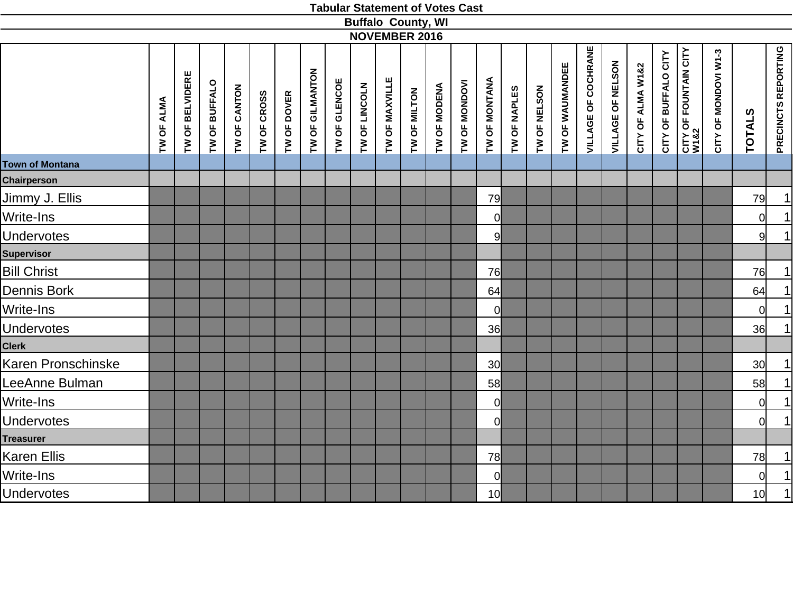|                        |            |                 |               |              |             |             |                 |               |               |                | <b>Buffalo County, WI</b> |              |               |                 |              |              |                 |                            |                   |                   |                      |                                           |                      |                 |                            |
|------------------------|------------|-----------------|---------------|--------------|-------------|-------------|-----------------|---------------|---------------|----------------|---------------------------|--------------|---------------|-----------------|--------------|--------------|-----------------|----------------------------|-------------------|-------------------|----------------------|-------------------------------------------|----------------------|-----------------|----------------------------|
|                        |            |                 |               |              |             |             |                 |               |               |                | <b>NOVEMBER 2016</b>      |              |               |                 |              |              |                 |                            |                   |                   |                      |                                           |                      |                 |                            |
|                        | TW OF ALMA | TW OF BELVIDERE | TW OF BUFFALO | TW OF CANTON | TW OF CROSS | TW OF DOVER | TW OF GILMANTON | TW OF GLENCOE | TW OF LINCOLN | TW OF MAXVILLE | TW OF MILTON              | TW OF MODENA | TW OF MONDOVI | TW OF MONTANA   | TW OF NAPLES | TW OF NELSON | TW OF WAUMANDEE | <b>VILLAGE OF COCHRANE</b> | VILLAGE OF NELSON | CITY OF ALMA W1&2 | CITY OF BUFFALO CITY | <b>CITY OF FOUNTAIN CITY<br/>W1&amp;2</b> | CITY OF MONDOVI W1-3 | <b>TOTALS</b>   | <b>PRECINCTS REPORTING</b> |
| <b>Town of Montana</b> |            |                 |               |              |             |             |                 |               |               |                |                           |              |               |                 |              |              |                 |                            |                   |                   |                      |                                           |                      |                 |                            |
| <b>Chairperson</b>     |            |                 |               |              |             |             |                 |               |               |                |                           |              |               |                 |              |              |                 |                            |                   |                   |                      |                                           |                      |                 |                            |
| Jimmy J. Ellis         |            |                 |               |              |             |             |                 |               |               |                |                           |              |               | 79              |              |              |                 |                            |                   |                   |                      |                                           |                      | 79              | $\vert$                    |
| Write-Ins              |            |                 |               |              |             |             |                 |               |               |                |                           |              |               | 0l              |              |              |                 |                            |                   |                   |                      |                                           |                      | <sub>0</sub>    | $\vert$                    |
| <b>Undervotes</b>      |            |                 |               |              |             |             |                 |               |               |                |                           |              |               | 9               |              |              |                 |                            |                   |                   |                      |                                           |                      | 9 <sup>l</sup>  | 1                          |
| <b>Supervisor</b>      |            |                 |               |              |             |             |                 |               |               |                |                           |              |               |                 |              |              |                 |                            |                   |                   |                      |                                           |                      |                 |                            |
| <b>Bill Christ</b>     |            |                 |               |              |             |             |                 |               |               |                |                           |              |               | 76              |              |              |                 |                            |                   |                   |                      |                                           |                      | 76              | $\overline{1}$             |
| Dennis Bork            |            |                 |               |              |             |             |                 |               |               |                |                           |              |               | 64              |              |              |                 |                            |                   |                   |                      |                                           |                      | 64              | $\overline{1}$             |
| Write-Ins              |            |                 |               |              |             |             |                 |               |               |                |                           |              |               | $\overline{0}$  |              |              |                 |                            |                   |                   |                      |                                           |                      | 0l              | 1                          |
| <b>Undervotes</b>      |            |                 |               |              |             |             |                 |               |               |                |                           |              |               | 36              |              |              |                 |                            |                   |                   |                      |                                           |                      | 36              | 1                          |
| <b>Clerk</b>           |            |                 |               |              |             |             |                 |               |               |                |                           |              |               |                 |              |              |                 |                            |                   |                   |                      |                                           |                      |                 |                            |
| Karen Pronschinske     |            |                 |               |              |             |             |                 |               |               |                |                           |              |               | 30 <sup>1</sup> |              |              |                 |                            |                   |                   |                      |                                           |                      | 30 <sup>l</sup> | $\vert$                    |
| LeeAnne Bulman         |            |                 |               |              |             |             |                 |               |               |                |                           |              |               | 58              |              |              |                 |                            |                   |                   |                      |                                           |                      | 58              | $\overline{1}$             |
| Write-Ins              |            |                 |               |              |             |             |                 |               |               |                |                           |              |               | 0l              |              |              |                 |                            |                   |                   |                      |                                           |                      | <sub>0</sub>    | $\overline{1}$             |
| <b>Undervotes</b>      |            |                 |               |              |             |             |                 |               |               |                |                           |              |               | <sup>o</sup>    |              |              |                 |                            |                   |                   |                      |                                           |                      | <sub>0</sub>    | 1                          |
| <b>Treasurer</b>       |            |                 |               |              |             |             |                 |               |               |                |                           |              |               |                 |              |              |                 |                            |                   |                   |                      |                                           |                      |                 |                            |
| Karen Ellis            |            |                 |               |              |             |             |                 |               |               |                |                           |              |               | 78              |              |              |                 |                            |                   |                   |                      |                                           |                      | 78              | $\overline{1}$             |
| Write-Ins              |            |                 |               |              |             |             |                 |               |               |                |                           |              |               | <sup>0</sup>    |              |              |                 |                            |                   |                   |                      |                                           |                      | <sup>ol</sup>   | $\vert$                    |
| <b>Undervotes</b>      |            |                 |               |              |             |             |                 |               |               |                |                           |              |               | 10 <sup>1</sup> |              |              |                 |                            |                   |                   |                      |                                           |                      | 10              | $\overline{1}$             |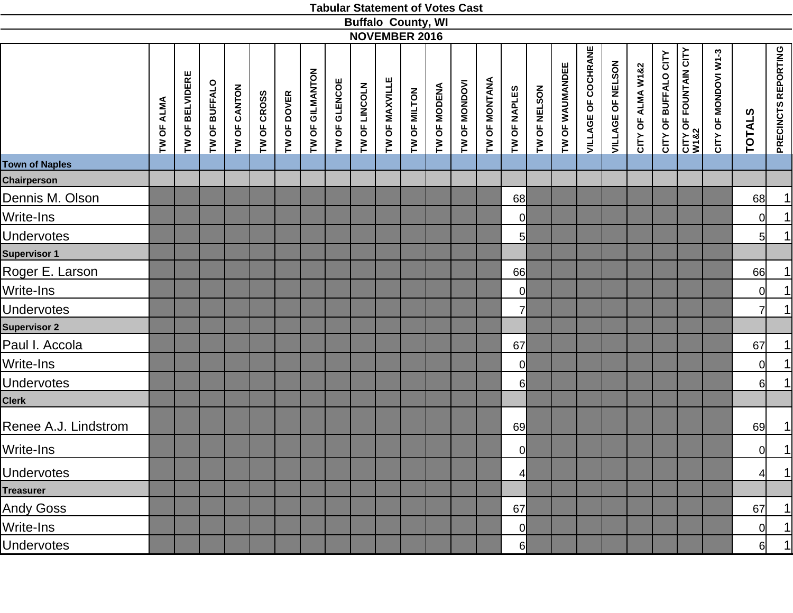|                       |               |                 |               |              |             |             |                 |               | <b>Buffalo County, WI</b> |                | <b>NOVEMBER 2016</b> |              |               |                      |                |              |                 |                            |                   |                   |                      |                                       |                      |                |                     |
|-----------------------|---------------|-----------------|---------------|--------------|-------------|-------------|-----------------|---------------|---------------------------|----------------|----------------------|--------------|---------------|----------------------|----------------|--------------|-----------------|----------------------------|-------------------|-------------------|----------------------|---------------------------------------|----------------------|----------------|---------------------|
|                       | ALMA<br>TW OF | TW OF BELVIDERE | TW OF BUFFALO | TW OF CANTON | TW OF CROSS | TW OF DOVER | TW OF GILMANTON | TW OF GLENCOE | TW OF LINCOLN             | TW OF MAXVILLE | TW OF MILTON         | TW OF MODENA | TW OF MONDOVI | <b>TW OF MONTANA</b> | TW OF NAPLES   | TW OF NELSON | TW OF WAUMANDEE | <b>VILLAGE OF COCHRANE</b> | VILLAGE OF NELSON | CITY OF ALMA W1&2 | CITY OF BUFFALO CITY | <b>CITY OF FOUNTAIN CITY<br/>W182</b> | CITY OF MONDOVI W1-3 | <b>TOTALS</b>  | PRECINCTS REPORTING |
| <b>Town of Naples</b> |               |                 |               |              |             |             |                 |               |                           |                |                      |              |               |                      |                |              |                 |                            |                   |                   |                      |                                       |                      |                |                     |
| <b>Chairperson</b>    |               |                 |               |              |             |             |                 |               |                           |                |                      |              |               |                      |                |              |                 |                            |                   |                   |                      |                                       |                      |                |                     |
| Dennis M. Olson       |               |                 |               |              |             |             |                 |               |                           |                |                      |              |               |                      | 68             |              |                 |                            |                   |                   |                      |                                       |                      | 68             | 1                   |
| Write-Ins             |               |                 |               |              |             |             |                 |               |                           |                |                      |              |               |                      | <sub>0</sub>   |              |                 |                            |                   |                   |                      |                                       |                      | 0              | 1                   |
| Undervotes            |               |                 |               |              |             |             |                 |               |                           |                |                      |              |               |                      | $5 \mid$       |              |                 |                            |                   |                   |                      |                                       |                      | $5 \mid$       | 1                   |
| Supervisor 1          |               |                 |               |              |             |             |                 |               |                           |                |                      |              |               |                      |                |              |                 |                            |                   |                   |                      |                                       |                      |                |                     |
| Roger E. Larson       |               |                 |               |              |             |             |                 |               |                           |                |                      |              |               |                      | 66             |              |                 |                            |                   |                   |                      |                                       |                      | 66             | 1                   |
| Write-Ins             |               |                 |               |              |             |             |                 |               |                           |                |                      |              |               |                      | 0l             |              |                 |                            |                   |                   |                      |                                       |                      | $\overline{0}$ | 1                   |
| Undervotes            |               |                 |               |              |             |             |                 |               |                           |                |                      |              |               |                      | 71             |              |                 |                            |                   |                   |                      |                                       |                      | $\overline{7}$ | 1                   |
| <b>Supervisor 2</b>   |               |                 |               |              |             |             |                 |               |                           |                |                      |              |               |                      |                |              |                 |                            |                   |                   |                      |                                       |                      |                |                     |
| Paul I. Accola        |               |                 |               |              |             |             |                 |               |                           |                |                      |              |               |                      | 67             |              |                 |                            |                   |                   |                      |                                       |                      | 67             | 1                   |
| Write-Ins             |               |                 |               |              |             |             |                 |               |                           |                |                      |              |               |                      | 0              |              |                 |                            |                   |                   |                      |                                       |                      | $\overline{0}$ | 1                   |
| <b>Undervotes</b>     |               |                 |               |              |             |             |                 |               |                           |                |                      |              |               |                      | 61             |              |                 |                            |                   |                   |                      |                                       |                      | 6              | 1                   |
| Clerk                 |               |                 |               |              |             |             |                 |               |                           |                |                      |              |               |                      |                |              |                 |                            |                   |                   |                      |                                       |                      |                |                     |
| Renee A.J. Lindstrom  |               |                 |               |              |             |             |                 |               |                           |                |                      |              |               |                      | 69             |              |                 |                            |                   |                   |                      |                                       |                      | 69             | $\vert$             |
| Write-Ins             |               |                 |               |              |             |             |                 |               |                           |                |                      |              |               |                      | $\overline{0}$ |              |                 |                            |                   |                   |                      |                                       |                      | $\overline{0}$ | $\vert$             |
| <b>Undervotes</b>     |               |                 |               |              |             |             |                 |               |                           |                |                      |              |               |                      | 4              |              |                 |                            |                   |                   |                      |                                       |                      | $\frac{4}{3}$  | 1                   |
| <b>Treasurer</b>      |               |                 |               |              |             |             |                 |               |                           |                |                      |              |               |                      |                |              |                 |                            |                   |                   |                      |                                       |                      |                |                     |
| <b>Andy Goss</b>      |               |                 |               |              |             |             |                 |               |                           |                |                      |              |               |                      | 67             |              |                 |                            |                   |                   |                      |                                       |                      | 67             | 1                   |
| Write-Ins             |               |                 |               |              |             |             |                 |               |                           |                |                      |              |               |                      | 0              |              |                 |                            |                   |                   |                      |                                       |                      | $\overline{0}$ | 1                   |
| <b>Undervotes</b>     |               |                 |               |              |             |             |                 |               |                           |                |                      |              |               |                      | 61             |              |                 |                            |                   |                   |                      |                                       |                      | 6              | 1                   |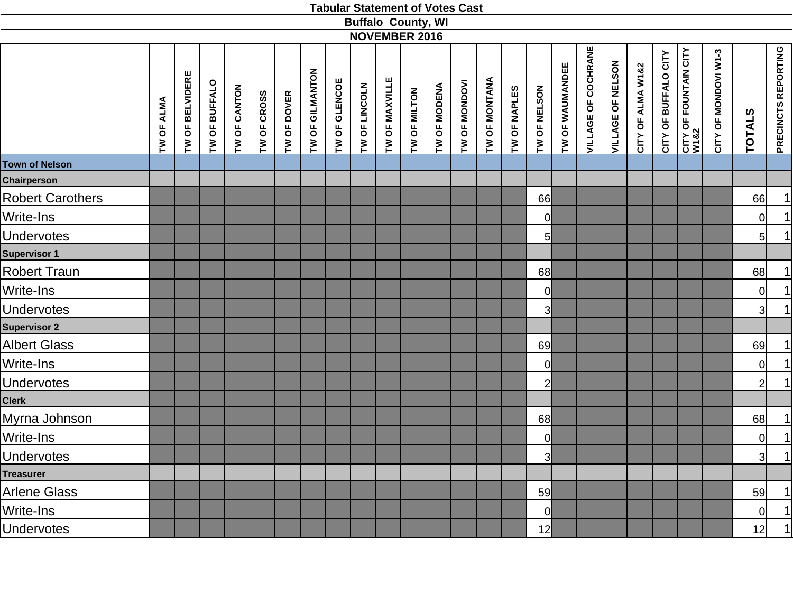|                       |            |                 |               |              |                            |                 |               | <b>Buffalo County, WI</b> |                |              |               |               |              |                |                 |                            |                   |                   |                      |                                      |                      |                |                     |
|-----------------------|------------|-----------------|---------------|--------------|----------------------------|-----------------|---------------|---------------------------|----------------|--------------|---------------|---------------|--------------|----------------|-----------------|----------------------------|-------------------|-------------------|----------------------|--------------------------------------|----------------------|----------------|---------------------|
|                       |            |                 |               |              |                            |                 |               | <b>NOVEMBER 2016</b>      |                |              |               |               |              |                |                 |                            |                   |                   |                      |                                      |                      |                |                     |
|                       | TW OF ALMA | TW OF BELVIDERE | TW OF BUFFALO | TW OF CANTON | TW OF CROSS<br>TW OF DOVER | TW OF GILMANTON | TW OF GLENCOE | TW OF LINCOLN             | TW OF MAXVILLE | TW OF MODENA | TW OF MONDOVI | TW OF MONTANA | TW OF NAPLES | TW OF NELSON   | TW OF WAUMANDEE | <b>VILLAGE OF COCHRANE</b> | VILLAGE OF NELSON | CITY OF ALMA W1&2 | CITY OF BUFFALO CITY | <b>CITY OF FOUNTAIN CITY</b><br>W1&2 | CITY OF MONDOVI W1-3 | <b>TOTALS</b>  | PRECINCTS REPORTING |
| <b>Town of Nelson</b> |            |                 |               |              |                            |                 |               |                           |                |              |               |               |              |                |                 |                            |                   |                   |                      |                                      |                      |                |                     |
| Chairperson           |            |                 |               |              |                            |                 |               |                           |                |              |               |               |              |                |                 |                            |                   |                   |                      |                                      |                      |                |                     |
| Robert Carothers      |            |                 |               |              |                            |                 |               |                           |                |              |               |               |              | 66             |                 |                            |                   |                   |                      |                                      |                      | 66             | 1                   |
| Write-Ins             |            |                 |               |              |                            |                 |               |                           |                |              |               |               |              | <sub>0</sub>   |                 |                            |                   |                   |                      |                                      |                      | 0              | $\overline{1}$      |
| <b>Undervotes</b>     |            |                 |               |              |                            |                 |               |                           |                |              |               |               |              | $5 \mid$       |                 |                            |                   |                   |                      |                                      |                      | 5 <sup>1</sup> | 1                   |
| Supervisor 1          |            |                 |               |              |                            |                 |               |                           |                |              |               |               |              |                |                 |                            |                   |                   |                      |                                      |                      |                |                     |
| Robert Traun          |            |                 |               |              |                            |                 |               |                           |                |              |               |               |              | 68             |                 |                            |                   |                   |                      |                                      |                      | 68             |                     |
| Write-Ins             |            |                 |               |              |                            |                 |               |                           |                |              |               |               |              | $\mathsf{O}$   |                 |                            |                   |                   |                      |                                      |                      | <sub>0</sub>   | $\frac{1}{1}$       |
| <b>Undervotes</b>     |            |                 |               |              |                            |                 |               |                           |                |              |               |               |              | 3              |                 |                            |                   |                   |                      |                                      |                      | 3 <sup>l</sup> |                     |
| <b>Supervisor 2</b>   |            |                 |               |              |                            |                 |               |                           |                |              |               |               |              |                |                 |                            |                   |                   |                      |                                      |                      |                |                     |
| <b>Albert Glass</b>   |            |                 |               |              |                            |                 |               |                           |                |              |               |               |              | 69             |                 |                            |                   |                   |                      |                                      |                      | 69             | $\overline{1}$      |
| Write-Ins             |            |                 |               |              |                            |                 |               |                           |                |              |               |               |              | $\overline{0}$ |                 |                            |                   |                   |                      |                                      |                      | 0              | $\frac{1}{1}$       |
| Undervotes            |            |                 |               |              |                            |                 |               |                           |                |              |               |               |              | $\overline{2}$ |                 |                            |                   |                   |                      |                                      |                      | $2\vert$       |                     |
| Clerk                 |            |                 |               |              |                            |                 |               |                           |                |              |               |               |              |                |                 |                            |                   |                   |                      |                                      |                      |                |                     |
| Myrna Johnson         |            |                 |               |              |                            |                 |               |                           |                |              |               |               |              | 68             |                 |                            |                   |                   |                      |                                      |                      | 68             | $\frac{1}{1}$       |
| Write-Ins             |            |                 |               |              |                            |                 |               |                           |                |              |               |               |              | $\overline{0}$ |                 |                            |                   |                   |                      |                                      |                      | <sub>0</sub>   |                     |
| <b>Undervotes</b>     |            |                 |               |              |                            |                 |               |                           |                |              |               |               |              | $\overline{3}$ |                 |                            |                   |                   |                      |                                      |                      | 3 <sup>1</sup> | $\overline{1}$      |
| <b>Treasurer</b>      |            |                 |               |              |                            |                 |               |                           |                |              |               |               |              |                |                 |                            |                   |                   |                      |                                      |                      |                |                     |
| Arlene Glass          |            |                 |               |              |                            |                 |               |                           |                |              |               |               |              | 59             |                 |                            |                   |                   |                      |                                      |                      | 59             |                     |
| Write-Ins             |            |                 |               |              |                            |                 |               |                           |                |              |               |               |              | 0              |                 |                            |                   |                   |                      |                                      |                      | <sup>ol</sup>  | $\frac{1}{1}$       |
| Undervotes            |            |                 |               |              |                            |                 |               |                           |                |              |               |               |              | 12             |                 |                            |                   |                   |                      |                                      |                      | 12             |                     |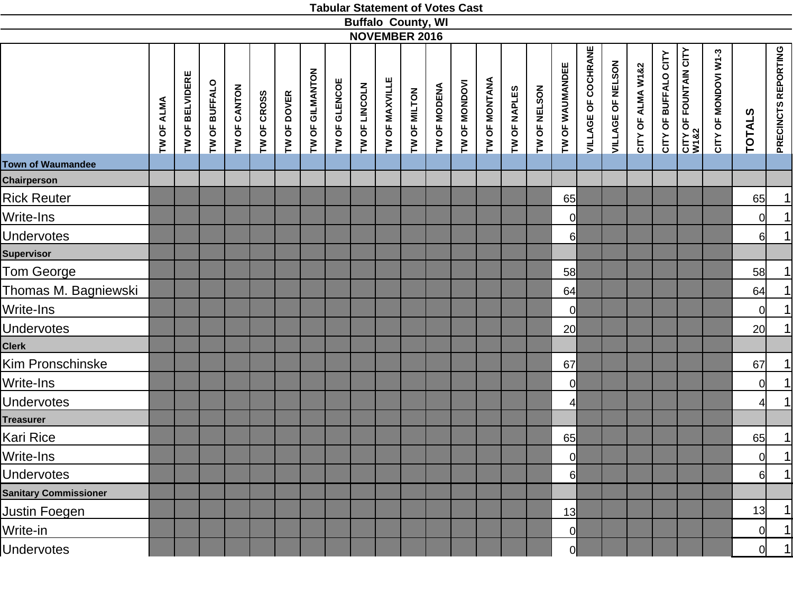|                              |            |                 |               |              |             |             |                 |               | <b>Buffalo County, WI</b><br><b>NOVEMBER 2016</b> |                |              |              |               |               |              |              |                 |                            |                   |                   |                      |                               |                      |                |                     |
|------------------------------|------------|-----------------|---------------|--------------|-------------|-------------|-----------------|---------------|---------------------------------------------------|----------------|--------------|--------------|---------------|---------------|--------------|--------------|-----------------|----------------------------|-------------------|-------------------|----------------------|-------------------------------|----------------------|----------------|---------------------|
|                              | TW OF ALMA | TW OF BELVIDERE | TW OF BUFFALO | TW OF CANTON | TW OF CROSS | TW OF DOVER | TW OF GILMANTON | TW OF GLENCOE | TW OF LINCOLN                                     | TW OF MAXVILLE | TW OF MILTON | TW OF MODENA | TW OF MONDOVI | TW OF MONTANA | TW OF NAPLES | TW OF NELSON | TW OF WAUMANDEE | <b>VILLAGE OF COCHRANE</b> | VILLAGE OF NELSON | CITY OF ALMA W1&2 | CITY OF BUFFALO CITY | CITY OF FOUNTAIN CITY<br>W1&2 | CITY OF MONDOVI W1-3 | <b>TOTALS</b>  | PRECINCTS REPORTING |
| <b>Town of Waumandee</b>     |            |                 |               |              |             |             |                 |               |                                                   |                |              |              |               |               |              |              |                 |                            |                   |                   |                      |                               |                      |                |                     |
| <b>Chairperson</b>           |            |                 |               |              |             |             |                 |               |                                                   |                |              |              |               |               |              |              |                 |                            |                   |                   |                      |                               |                      |                |                     |
| <b>Rick Reuter</b>           |            |                 |               |              |             |             |                 |               |                                                   |                |              |              |               |               |              |              | 65              |                            |                   |                   |                      |                               |                      | 65             | 1                   |
| Write-Ins                    |            |                 |               |              |             |             |                 |               |                                                   |                |              |              |               |               |              |              | $\overline{0}$  |                            |                   |                   |                      |                               |                      | $\overline{0}$ | 1                   |
| <b>Undervotes</b>            |            |                 |               |              |             |             |                 |               |                                                   |                |              |              |               |               |              |              | 6               |                            |                   |                   |                      |                               |                      | $6 \mid$       | 1                   |
| <b>Supervisor</b>            |            |                 |               |              |             |             |                 |               |                                                   |                |              |              |               |               |              |              |                 |                            |                   |                   |                      |                               |                      |                |                     |
| Tom George                   |            |                 |               |              |             |             |                 |               |                                                   |                |              |              |               |               |              |              | 58              |                            |                   |                   |                      |                               |                      | 58             | 1                   |
| Thomas M. Bagniewski         |            |                 |               |              |             |             |                 |               |                                                   |                |              |              |               |               |              |              | 64              |                            |                   |                   |                      |                               |                      | 64             | $\overline{1}$      |
| Write-Ins                    |            |                 |               |              |             |             |                 |               |                                                   |                |              |              |               |               |              |              | $\overline{0}$  |                            |                   |                   |                      |                               |                      | $\overline{0}$ | 1                   |
| <b>Jndervotes</b>            |            |                 |               |              |             |             |                 |               |                                                   |                |              |              |               |               |              |              | 20              |                            |                   |                   |                      |                               |                      | 20             | 1                   |
| Clerk                        |            |                 |               |              |             |             |                 |               |                                                   |                |              |              |               |               |              |              |                 |                            |                   |                   |                      |                               |                      |                |                     |
| Kim Pronschinske             |            |                 |               |              |             |             |                 |               |                                                   |                |              |              |               |               |              |              | 67              |                            |                   |                   |                      |                               |                      | 67             | 1                   |
| Write-Ins                    |            |                 |               |              |             |             |                 |               |                                                   |                |              |              |               |               |              |              | $\overline{0}$  |                            |                   |                   |                      |                               |                      | $\overline{0}$ | 1                   |
| <b>Jndervotes</b>            |            |                 |               |              |             |             |                 |               |                                                   |                |              |              |               |               |              |              | 4               |                            |                   |                   |                      |                               |                      | $\overline{4}$ | 1                   |
| <b>Treasurer</b>             |            |                 |               |              |             |             |                 |               |                                                   |                |              |              |               |               |              |              |                 |                            |                   |                   |                      |                               |                      |                |                     |
| Kari Rice                    |            |                 |               |              |             |             |                 |               |                                                   |                |              |              |               |               |              |              | 65              |                            |                   |                   |                      |                               |                      | 65             | $\overline{1}$      |
| Write-Ins                    |            |                 |               |              |             |             |                 |               |                                                   |                |              |              |               |               |              |              | 0               |                            |                   |                   |                      |                               |                      | 0              | $\overline{1}$      |
| <b>Undervotes</b>            |            |                 |               |              |             |             |                 |               |                                                   |                |              |              |               |               |              |              | 6               |                            |                   |                   |                      |                               |                      | $6 \mid$       | 1                   |
| <b>Sanitary Commissioner</b> |            |                 |               |              |             |             |                 |               |                                                   |                |              |              |               |               |              |              |                 |                            |                   |                   |                      |                               |                      |                |                     |
| Justin Foegen                |            |                 |               |              |             |             |                 |               |                                                   |                |              |              |               |               |              |              | 13              |                            |                   |                   |                      |                               |                      | 13             | 1                   |
| Write-in                     |            |                 |               |              |             |             |                 |               |                                                   |                |              |              |               |               |              |              | $\overline{0}$  |                            |                   |                   |                      |                               |                      | <sub>0</sub>   | 1                   |
| <b>Indervotes</b>            |            |                 |               |              |             |             |                 |               |                                                   |                |              |              |               |               |              |              |                 |                            |                   |                   |                      |                               |                      |                | $\mathbf{1}$        |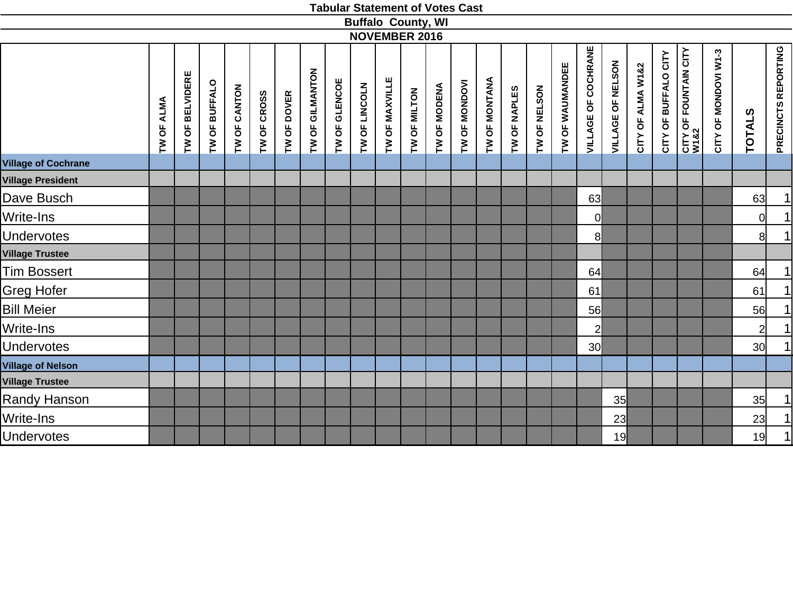|                            |            |                        |               |              |             |             |                 |               |               |                | <b>Buffalo County, WI</b> |              |               |               |              |              |                 |                            |                   |                   |                           |                                       |                      |                 |                            |
|----------------------------|------------|------------------------|---------------|--------------|-------------|-------------|-----------------|---------------|---------------|----------------|---------------------------|--------------|---------------|---------------|--------------|--------------|-----------------|----------------------------|-------------------|-------------------|---------------------------|---------------------------------------|----------------------|-----------------|----------------------------|
|                            |            |                        |               |              |             |             |                 |               |               |                | <b>NOVEMBER 2016</b>      |              |               |               |              |              |                 |                            |                   |                   |                           |                                       |                      |                 |                            |
|                            | TW OF ALMA | <b>TW OF BELVIDERE</b> | TW OF BUFFALO | TW OF CANTON | TW OF CROSS | TW OF DOVER | TW OF GILMANTON | TW OF GLENCOE | TW OF LINCOLN | TW OF MAXVILLE | TW OF MILTON              | TW OF MODENA | TW OF MONDOVI | TW OF MONTANA | TW OF NAPLES | TW OF NELSON | TW OF WAUMANDEE | <b>VILLAGE OF COCHRANE</b> | VILLAGE OF NELSON | CITY OF ALMA W1&2 | BUFFALO CITY<br>CITY OF I | <b>CITY OF FOUNTAIN CITY<br/>W182</b> | CITY OF MONDOVI W1-3 | <b>TOTALS</b>   | <b>PRECINCTS REPORTING</b> |
| <b>Village of Cochrane</b> |            |                        |               |              |             |             |                 |               |               |                |                           |              |               |               |              |              |                 |                            |                   |                   |                           |                                       |                      |                 |                            |
| <b>Village President</b>   |            |                        |               |              |             |             |                 |               |               |                |                           |              |               |               |              |              |                 |                            |                   |                   |                           |                                       |                      |                 |                            |
| Dave Busch                 |            |                        |               |              |             |             |                 |               |               |                |                           |              |               |               |              |              |                 | 63                         |                   |                   |                           |                                       |                      | 63              | 1                          |
| Write-Ins                  |            |                        |               |              |             |             |                 |               |               |                |                           |              |               |               |              |              |                 | 0                          |                   |                   |                           |                                       |                      | 0l              | 1                          |
| <b>Undervotes</b>          |            |                        |               |              |             |             |                 |               |               |                |                           |              |               |               |              |              |                 | 8 <sup>1</sup>             |                   |                   |                           |                                       |                      | 8               | 1                          |
| <b>Village Trustee</b>     |            |                        |               |              |             |             |                 |               |               |                |                           |              |               |               |              |              |                 |                            |                   |                   |                           |                                       |                      |                 |                            |
| <b>Tim Bossert</b>         |            |                        |               |              |             |             |                 |               |               |                |                           |              |               |               |              |              |                 | 64                         |                   |                   |                           |                                       |                      | 64              | 1                          |
| <b>Greg Hofer</b>          |            |                        |               |              |             |             |                 |               |               |                |                           |              |               |               |              |              |                 | 61                         |                   |                   |                           |                                       |                      | 61              | 1                          |
| <b>Bill Meier</b>          |            |                        |               |              |             |             |                 |               |               |                |                           |              |               |               |              |              |                 | 56                         |                   |                   |                           |                                       |                      | 56              | 1                          |
| Write-Ins                  |            |                        |               |              |             |             |                 |               |               |                |                           |              |               |               |              |              |                 | $\overline{2}$             |                   |                   |                           |                                       |                      | $\overline{2}$  | 1                          |
| <b>Undervotes</b>          |            |                        |               |              |             |             |                 |               |               |                |                           |              |               |               |              |              |                 | 30 <sup>l</sup>            |                   |                   |                           |                                       |                      | 30 <sub>l</sub> | 1                          |
| <b>Village of Nelson</b>   |            |                        |               |              |             |             |                 |               |               |                |                           |              |               |               |              |              |                 |                            |                   |                   |                           |                                       |                      |                 |                            |
| <b>Village Trustee</b>     |            |                        |               |              |             |             |                 |               |               |                |                           |              |               |               |              |              |                 |                            |                   |                   |                           |                                       |                      |                 |                            |
| <b>Randy Hanson</b>        |            |                        |               |              |             |             |                 |               |               |                |                           |              |               |               |              |              |                 |                            | 35                |                   |                           |                                       |                      | 35              | 1                          |
| Write-Ins                  |            |                        |               |              |             |             |                 |               |               |                |                           |              |               |               |              |              |                 |                            | 23                |                   |                           |                                       |                      | 23              | 1                          |
| <b>Undervotes</b>          |            |                        |               |              |             |             |                 |               |               |                |                           |              |               |               |              |              |                 |                            | 19                |                   |                           |                                       |                      | 19              | 1                          |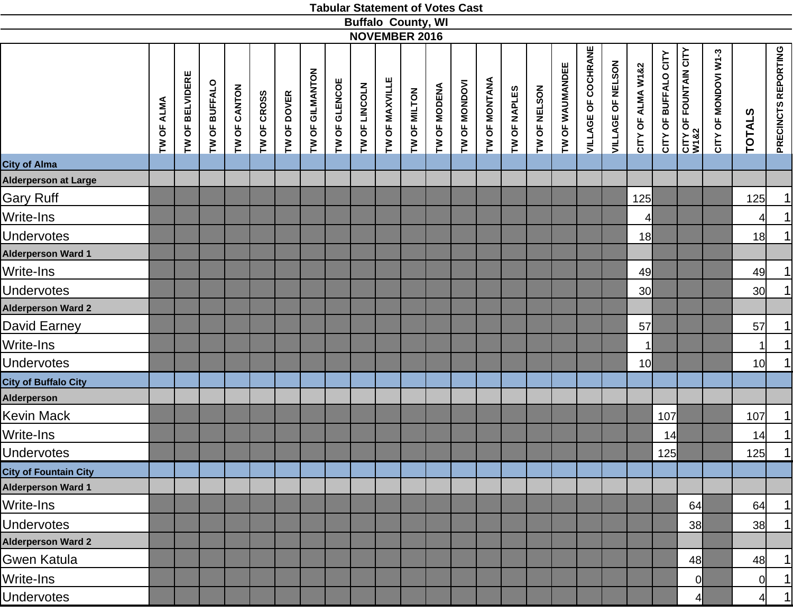|                              |            |                 |               |              |             |             |                 |               |               | <b>Buffalo County, WI</b> |              |              |               |               |              |              |                 |                            |                   |                   |                      |                                           |                      |                 |                     |
|------------------------------|------------|-----------------|---------------|--------------|-------------|-------------|-----------------|---------------|---------------|---------------------------|--------------|--------------|---------------|---------------|--------------|--------------|-----------------|----------------------------|-------------------|-------------------|----------------------|-------------------------------------------|----------------------|-----------------|---------------------|
|                              |            |                 |               |              |             |             |                 |               |               | <b>NOVEMBER 2016</b>      |              |              |               |               |              |              |                 |                            |                   |                   |                      |                                           |                      |                 |                     |
|                              | TW OF ALMA | TW OF BELVIDERE | TW OF BUFFALO | TW OF CANTON | TW OF CROSS | TW OF DOVER | TW OF GILMANTON | TW OF GLENCOE | TW OF LINCOLN | TW OF MAXVILLE            | TW OF MILTON | TW OF MODENA | TW OF MONDOVI | TW OF MONTANA | TW OF NAPLES | TW OF NELSON | TW OF WAUMANDEE | <b>VILLAGE OF COCHRANE</b> | VILLAGE OF NELSON | CITY OF ALMA W1&2 | CITY OF BUFFALO CITY | <b>CITY OF FOUNTAIN CITY<br/>W1&amp;2</b> | CITY OF MONDOVI W1-3 | <b>TOTALS</b>   | PRECINCTS REPORTING |
| City of Alma                 |            |                 |               |              |             |             |                 |               |               |                           |              |              |               |               |              |              |                 |                            |                   |                   |                      |                                           |                      |                 |                     |
| Alderperson at Large         |            |                 |               |              |             |             |                 |               |               |                           |              |              |               |               |              |              |                 |                            |                   |                   |                      |                                           |                      |                 |                     |
| <b>Gary Ruff</b>             |            |                 |               |              |             |             |                 |               |               |                           |              |              |               |               |              |              |                 |                            |                   | 125               |                      |                                           |                      | 125             | 1                   |
| Write-Ins                    |            |                 |               |              |             |             |                 |               |               |                           |              |              |               |               |              |              |                 |                            |                   | $\overline{4}$    |                      |                                           |                      | $\overline{4}$  | 1                   |
| <b>Undervotes</b>            |            |                 |               |              |             |             |                 |               |               |                           |              |              |               |               |              |              |                 |                            |                   | 18                |                      |                                           |                      | 18              | 1                   |
| <b>Alderperson Ward 1</b>    |            |                 |               |              |             |             |                 |               |               |                           |              |              |               |               |              |              |                 |                            |                   |                   |                      |                                           |                      |                 |                     |
| Write-Ins                    |            |                 |               |              |             |             |                 |               |               |                           |              |              |               |               |              |              |                 |                            |                   | 49                |                      |                                           |                      | 49              | 1                   |
| <b>Undervotes</b>            |            |                 |               |              |             |             |                 |               |               |                           |              |              |               |               |              |              |                 |                            |                   | 30 <sup>l</sup>   |                      |                                           |                      | 30 <sup>1</sup> | 1                   |
| <b>Alderperson Ward 2</b>    |            |                 |               |              |             |             |                 |               |               |                           |              |              |               |               |              |              |                 |                            |                   |                   |                      |                                           |                      |                 |                     |
| David Earney                 |            |                 |               |              |             |             |                 |               |               |                           |              |              |               |               |              |              |                 |                            |                   | 57                |                      |                                           |                      | 57              | 1                   |
| Write-Ins                    |            |                 |               |              |             |             |                 |               |               |                           |              |              |               |               |              |              |                 |                            |                   | 1                 |                      |                                           |                      | $\mathbf{1}$    | 1                   |
| <b>Undervotes</b>            |            |                 |               |              |             |             |                 |               |               |                           |              |              |               |               |              |              |                 |                            |                   | 10 <sup>1</sup>   |                      |                                           |                      | 10 <sup>1</sup> | 1                   |
| <b>City of Buffalo City</b>  |            |                 |               |              |             |             |                 |               |               |                           |              |              |               |               |              |              |                 |                            |                   |                   |                      |                                           |                      |                 |                     |
| Alderperson                  |            |                 |               |              |             |             |                 |               |               |                           |              |              |               |               |              |              |                 |                            |                   |                   |                      |                                           |                      |                 |                     |
| Kevin Mack                   |            |                 |               |              |             |             |                 |               |               |                           |              |              |               |               |              |              |                 |                            |                   |                   | 107                  |                                           |                      | 107             | 1                   |
| Write-Ins                    |            |                 |               |              |             |             |                 |               |               |                           |              |              |               |               |              |              |                 |                            |                   |                   | 14                   |                                           |                      | 14              | 1                   |
| <b>Undervotes</b>            |            |                 |               |              |             |             |                 |               |               |                           |              |              |               |               |              |              |                 |                            |                   |                   | 125                  |                                           |                      | 125             | 1                   |
| <b>City of Fountain City</b> |            |                 |               |              |             |             |                 |               |               |                           |              |              |               |               |              |              |                 |                            |                   |                   |                      |                                           |                      |                 |                     |
| <b>Alderperson Ward 1</b>    |            |                 |               |              |             |             |                 |               |               |                           |              |              |               |               |              |              |                 |                            |                   |                   |                      |                                           |                      |                 |                     |
| Write-Ins                    |            |                 |               |              |             |             |                 |               |               |                           |              |              |               |               |              |              |                 |                            |                   |                   |                      | 64                                        |                      | 64              | 1                   |
| <b>Undervotes</b>            |            |                 |               |              |             |             |                 |               |               |                           |              |              |               |               |              |              |                 |                            |                   |                   |                      | 38                                        |                      | 38              | 1                   |
| <b>Alderperson Ward 2</b>    |            |                 |               |              |             |             |                 |               |               |                           |              |              |               |               |              |              |                 |                            |                   |                   |                      |                                           |                      |                 |                     |
| Gwen Katula                  |            |                 |               |              |             |             |                 |               |               |                           |              |              |               |               |              |              |                 |                            |                   |                   |                      | 48                                        |                      | 48              | 1                   |
| Write-Ins                    |            |                 |               |              |             |             |                 |               |               |                           |              |              |               |               |              |              |                 |                            |                   |                   |                      | $\overline{0}$                            |                      | <sub>0</sub>    | 1                   |
| <b>Undervotes</b>            |            |                 |               |              |             |             |                 |               |               |                           |              |              |               |               |              |              |                 |                            |                   |                   |                      | 4 <sup>1</sup>                            |                      | 4               | 1                   |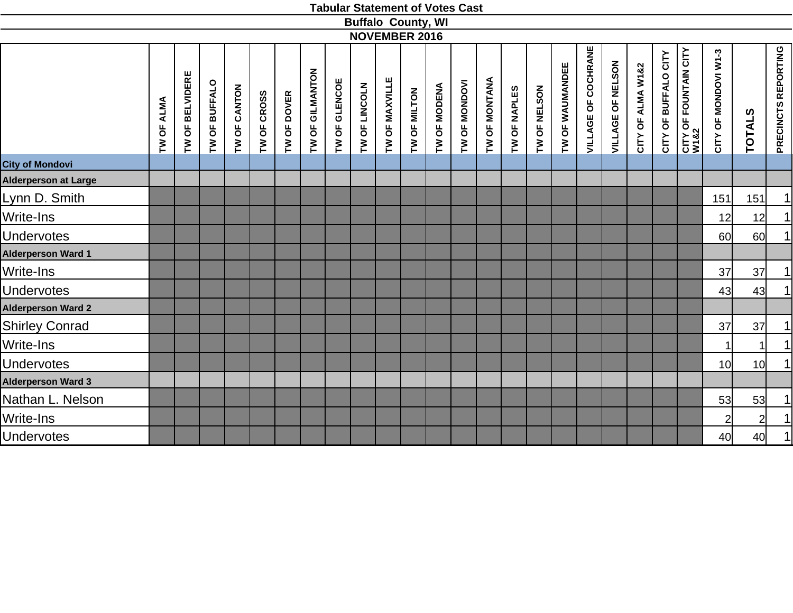|                             |            |                 |               |              |             |             |                 |               |               | <b>Buffalo County, WI</b> |              |              |               |               |              |              |                 |                     |                   |                   |                         |                                       |                      |                 |                     |
|-----------------------------|------------|-----------------|---------------|--------------|-------------|-------------|-----------------|---------------|---------------|---------------------------|--------------|--------------|---------------|---------------|--------------|--------------|-----------------|---------------------|-------------------|-------------------|-------------------------|---------------------------------------|----------------------|-----------------|---------------------|
|                             |            |                 |               |              |             |             |                 |               |               | <b>NOVEMBER 2016</b>      |              |              |               |               |              |              |                 |                     |                   |                   |                         |                                       |                      |                 |                     |
|                             | TW OF ALMA | TW OF BELVIDERE | TW OF BUFFALO | TW OF CANTON | TW OF CROSS | TW OF DOVER | TW OF GILMANTON | TW OF GLENCOE | TW OF LINCOLN | TW OF MAXVILLE            | TW OF MILTON | TW OF MODENA | TW OF MONDOVI | TW OF MONTANA | TW OF NAPLES | TW OF NELSON | TW OF WAUMANDEE | VILLAGE OF COCHRANE | VILLAGE OF NELSON | CITY OF ALMA W1&2 | BUFFALO CITY<br>CITY OF | <b>CITY OF FOUNTAIN CITY<br/>W182</b> | CITY OF MONDOVI W1-3 | <b>TOTALS</b>   | PRECINCTS REPORTING |
| <b>City of Mondovi</b>      |            |                 |               |              |             |             |                 |               |               |                           |              |              |               |               |              |              |                 |                     |                   |                   |                         |                                       |                      |                 |                     |
| <b>Alderperson at Large</b> |            |                 |               |              |             |             |                 |               |               |                           |              |              |               |               |              |              |                 |                     |                   |                   |                         |                                       |                      |                 |                     |
| Lynn D. Smith               |            |                 |               |              |             |             |                 |               |               |                           |              |              |               |               |              |              |                 |                     |                   |                   |                         |                                       | 151                  | 151             | $\mathbf{1}$        |
| Write-Ins                   |            |                 |               |              |             |             |                 |               |               |                           |              |              |               |               |              |              |                 |                     |                   |                   |                         |                                       | 12                   | 12              | $\vert$             |
| <b>Undervotes</b>           |            |                 |               |              |             |             |                 |               |               |                           |              |              |               |               |              |              |                 |                     |                   |                   |                         |                                       | <b>60</b>            | <b>60</b>       | $\mathbf{1}$        |
| <b>Alderperson Ward 1</b>   |            |                 |               |              |             |             |                 |               |               |                           |              |              |               |               |              |              |                 |                     |                   |                   |                         |                                       |                      |                 |                     |
| Write-Ins                   |            |                 |               |              |             |             |                 |               |               |                           |              |              |               |               |              |              |                 |                     |                   |                   |                         |                                       | 37                   | 37              | $\vert$             |
| <b>Undervotes</b>           |            |                 |               |              |             |             |                 |               |               |                           |              |              |               |               |              |              |                 |                     |                   |                   |                         |                                       | 43                   | 43              | $\mathbf{1}$        |
| <b>Alderperson Ward 2</b>   |            |                 |               |              |             |             |                 |               |               |                           |              |              |               |               |              |              |                 |                     |                   |                   |                         |                                       |                      |                 |                     |
| <b>Shirley Conrad</b>       |            |                 |               |              |             |             |                 |               |               |                           |              |              |               |               |              |              |                 |                     |                   |                   |                         |                                       | 37                   | 37              | $\vert$             |
| Write-Ins                   |            |                 |               |              |             |             |                 |               |               |                           |              |              |               |               |              |              |                 |                     |                   |                   |                         |                                       | 1                    |                 | $\mathbf{1}$        |
| <b>Undervotes</b>           |            |                 |               |              |             |             |                 |               |               |                           |              |              |               |               |              |              |                 |                     |                   |                   |                         |                                       | 10                   | 10 <sup>1</sup> | $\vert$             |
| <b>Alderperson Ward 3</b>   |            |                 |               |              |             |             |                 |               |               |                           |              |              |               |               |              |              |                 |                     |                   |                   |                         |                                       |                      |                 |                     |
| Nathan L. Nelson            |            |                 |               |              |             |             |                 |               |               |                           |              |              |               |               |              |              |                 |                     |                   |                   |                         |                                       | 53                   | 53              | $\vert$             |
| Write-Ins                   |            |                 |               |              |             |             |                 |               |               |                           |              |              |               |               |              |              |                 |                     |                   |                   |                         |                                       | $\overline{2}$       | $2 \vert$       | $\mathbf{1}$        |
| <b>Undervotes</b>           |            |                 |               |              |             |             |                 |               |               |                           |              |              |               |               |              |              |                 |                     |                   |                   |                         |                                       | 40                   | 40              | $\vert$             |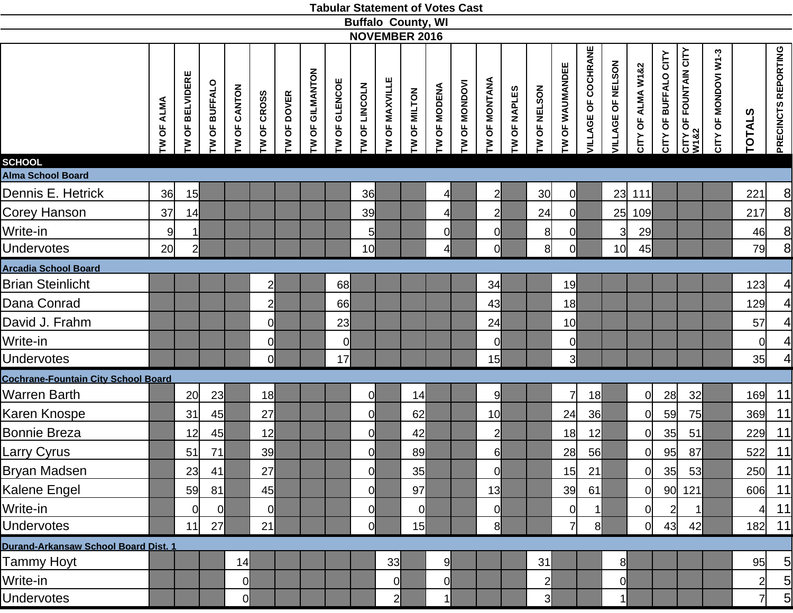| <b>Tabular Statement of Votes Cast</b> |
|----------------------------------------|
|----------------------------------------|

|                                            |                 |                   |                 |              |                |             |                   |                |                      | <b>Buffalo County, WI</b><br><b>NOVEMBER 2016</b> |                |                |                 |                                 |                                |                |                 |                            |                   |                   |                         |                                       |                      |                |                     |
|--------------------------------------------|-----------------|-------------------|-----------------|--------------|----------------|-------------|-------------------|----------------|----------------------|---------------------------------------------------|----------------|----------------|-----------------|---------------------------------|--------------------------------|----------------|-----------------|----------------------------|-------------------|-------------------|-------------------------|---------------------------------------|----------------------|----------------|---------------------|
|                                            | TW OF ALMA      | OF BELVIDERE<br>È | OF BUFFALO<br>Σ | TW OF CANTON | OF CROSS<br>≧  | TW OF DOVER | OF GILMANTON<br>ξ | TW OF GLENCOE  | OF LINCOLN<br>$\geq$ | OF MAXVILLE<br>$\mathsf{\Sigma}$                  | TW OF MILTON   | TW OF MODENA   | OF MONDOVI<br>M | OF MONTANA<br>$\mathsf{\Sigma}$ | OF NAPLES<br>$\mathsf{\Sigma}$ | TW OF NELSON   | TW OF WAUMANDEE | <b>VILLAGE OF COCHRANE</b> | VILLAGE OF NELSON | CITY OF ALMA W1&2 | OF BUFFALO CITY<br>CITY | <b>CITY OF FOUNTAIN CITY<br/>W182</b> | CITY OF MONDOVI W1-3 | <b>TOTALS</b>  | PRECINCTS REPORTING |
| <b>SCHOOL</b><br><b>Alma School Board</b>  |                 |                   |                 |              |                |             |                   |                |                      |                                                   |                |                |                 |                                 |                                |                |                 |                            |                   |                   |                         |                                       |                      |                |                     |
| Dennis E. Hetrick                          | 36              | 15                |                 |              |                |             |                   |                | 36                   |                                                   |                | 4              |                 | $2 \vert$                       |                                | 30             | 0               |                            |                   | 23 111            |                         |                                       |                      | 221            | $\boldsymbol{8}$    |
| Corey Hanson                               | 37              | 14                |                 |              |                |             |                   |                | 39                   |                                                   |                | $\overline{4}$ |                 | $\overline{2}$                  |                                | 24             | <sup>o</sup>    |                            | 25                | 109               |                         |                                       |                      | 217            | 8                   |
| Write-in                                   | 9               | $\mathbf{1}$      |                 |              |                |             |                   |                | 5 <sub>l</sub>       |                                                   |                | 0l             |                 | <sub>0</sub>                    |                                | 8              | 0l              |                            | 3                 | 29                |                         |                                       |                      | 46             | 8                   |
| <b>Undervotes</b>                          | 20 <sub>l</sub> | $\overline{2}$    |                 |              |                |             |                   |                | 10 <sub>l</sub>      |                                                   |                | $\mathbf{A}$   |                 | 0l                              |                                | 8              | 0l              |                            | 10 <sup>1</sup>   | 45                |                         |                                       |                      | 79             | $\mathbf{8}$        |
| <b>Arcadia School Board</b>                |                 |                   |                 |              |                |             |                   |                |                      |                                                   |                |                |                 |                                 |                                |                |                 |                            |                   |                   |                         |                                       |                      |                |                     |
| <b>Brian Steinlicht</b>                    |                 |                   |                 |              | $\overline{2}$ |             |                   | 68             |                      |                                                   |                |                |                 | 34                              |                                |                | 19              |                            |                   |                   |                         |                                       |                      | 123            | $\overline{4}$      |
| Dana Conrad                                |                 |                   |                 |              | $\overline{2}$ |             |                   | 66             |                      |                                                   |                |                |                 | 43                              |                                |                | 18              |                            |                   |                   |                         |                                       |                      | 129            | $\overline{4}$      |
| David J. Frahm                             |                 |                   |                 |              | $\overline{0}$ |             |                   | 23             |                      |                                                   |                |                |                 | 24                              |                                |                | 10 <sup>1</sup> |                            |                   |                   |                         |                                       |                      | 57             | $\overline{4}$      |
| Write-in                                   |                 |                   |                 |              | 0              |             |                   | $\overline{0}$ |                      |                                                   |                |                |                 | $\overline{0}$                  |                                |                | $\overline{0}$  |                            |                   |                   |                         |                                       |                      | 0l             | $\overline{4}$      |
| <b>Undervotes</b>                          |                 |                   |                 |              | $\overline{0}$ |             |                   | 17             |                      |                                                   |                |                |                 | 15                              |                                |                | $\overline{3}$  |                            |                   |                   |                         |                                       |                      | 35             | $\overline{4}$      |
| <b>Cochrane-Fountain City School Board</b> |                 |                   |                 |              |                |             |                   |                |                      |                                                   |                |                |                 |                                 |                                |                |                 |                            |                   |                   |                         |                                       |                      |                |                     |
| <b>Warren Barth</b>                        |                 | 20                | 23              |              | 18             |             |                   |                | 0l                   |                                                   | 14             |                |                 | 9                               |                                |                | $\overline{7}$  | 18                         |                   | 0                 | 28                      | 32                                    |                      | 169            | 11                  |
| Karen Knospe                               |                 | 31                | 45              |              | 27             |             |                   |                | $\overline{0}$       |                                                   | 62             |                |                 | 10                              |                                |                | 24              | 36                         |                   | $\overline{0}$    | 59                      | 75                                    |                      | 369            | 11                  |
| <b>Bonnie Breza</b>                        |                 | 12                | 45              |              | 12             |             |                   |                | 0                    |                                                   | 42             |                |                 | $\overline{2}$                  |                                |                | 18              | 12                         |                   | $\overline{O}$    | 35                      | 51                                    |                      | 229            | 11                  |
| Larry Cyrus                                |                 | 51                | 71              |              | 39             |             |                   |                | $\overline{0}$       |                                                   | 89             |                |                 | $6 \mid$                        |                                |                | 28              | 56                         |                   | $\overline{O}$    | 95                      | 87                                    |                      | 522            | 11                  |
| Bryan Madsen                               |                 | 23                | 41              |              | 27             |             |                   |                | 0l                   |                                                   | 35             |                |                 | 0                               |                                |                | 15              | 21                         |                   | 0                 | 35                      | 53                                    |                      | 250            | 11                  |
| Kalene Engel                               |                 | 59                | 81              |              | 45             |             |                   |                | $\overline{0}$       |                                                   | 97             |                |                 | 13                              |                                |                | 39              | 61                         |                   | $\overline{O}$    | 90 <sub>l</sub>         | 121                                   |                      | 606            | 11                  |
| Write-in                                   |                 | 0                 | $\overline{0}$  |              | $\overline{0}$ |             |                   |                | $\overline{0}$       |                                                   | $\overline{0}$ |                |                 | 0l                              |                                |                | $\overline{0}$  | 1                          |                   | $\overline{0}$    | $\mathbf{2}$            |                                       |                      | $\overline{4}$ | 11                  |
| <b>Undervotes</b>                          |                 | 11                | 27              |              | 21             |             |                   |                | Οl                   |                                                   | 15             |                |                 | 8 <sup>1</sup>                  |                                |                | 71              | 8                          |                   | 0                 | 43                      | 42                                    |                      |                | 182 11              |
| Durand-Arkansaw School Board Dist. 1       |                 |                   |                 |              |                |             |                   |                |                      |                                                   |                |                |                 |                                 |                                |                |                 |                            |                   |                   |                         |                                       |                      |                |                     |
| <b>Tammy Hoyt</b>                          |                 |                   |                 | 14           |                |             |                   |                |                      | 33                                                |                | 9              |                 |                                 |                                | 31             |                 |                            | 8 <sup>1</sup>    |                   |                         |                                       |                      | 95             | $5\overline{)}$     |
| Write-in                                   |                 |                   |                 | <sub>0</sub> |                |             |                   |                |                      | <sup>o</sup>                                      |                | $\overline{0}$ |                 |                                 |                                | $\overline{2}$ |                 |                            | $\overline{0}$    |                   |                         |                                       |                      | 2              | $\overline{5}$      |
| <b>Undervotes</b>                          |                 |                   |                 | 0            |                |             |                   |                |                      | $\mathbf{2}$                                      |                | 1              |                 |                                 |                                | 3              |                 |                            | -1                |                   |                         |                                       |                      |                | $5\overline{)}$     |